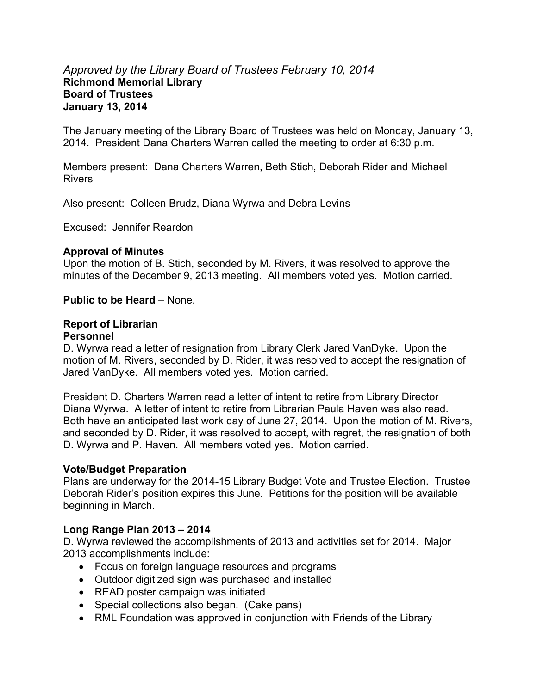#### *Approved by the Library Board of Trustees February 10, 2014*  **Richmond Memorial Library Board of Trustees January 13, 2014**

The January meeting of the Library Board of Trustees was held on Monday, January 13, 2014. President Dana Charters Warren called the meeting to order at 6:30 p.m.

Members present: Dana Charters Warren, Beth Stich, Deborah Rider and Michael Rivers

Also present: Colleen Brudz, Diana Wyrwa and Debra Levins

Excused: Jennifer Reardon

#### **Approval of Minutes**

Upon the motion of B. Stich, seconded by M. Rivers, it was resolved to approve the minutes of the December 9, 2013 meeting. All members voted yes. Motion carried.

#### **Public to be Heard** – None.

# **Report of Librarian**

#### **Personnel**

D. Wyrwa read a letter of resignation from Library Clerk Jared VanDyke. Upon the motion of M. Rivers, seconded by D. Rider, it was resolved to accept the resignation of Jared VanDyke. All members voted yes. Motion carried.

President D. Charters Warren read a letter of intent to retire from Library Director Diana Wyrwa. A letter of intent to retire from Librarian Paula Haven was also read. Both have an anticipated last work day of June 27, 2014. Upon the motion of M. Rivers, and seconded by D. Rider, it was resolved to accept, with regret, the resignation of both D. Wyrwa and P. Haven. All members voted yes. Motion carried.

#### **Vote/Budget Preparation**

Plans are underway for the 2014-15 Library Budget Vote and Trustee Election. Trustee Deborah Rider's position expires this June. Petitions for the position will be available beginning in March.

#### **Long Range Plan 2013 – 2014**

D. Wyrwa reviewed the accomplishments of 2013 and activities set for 2014. Major 2013 accomplishments include:

- Focus on foreign language resources and programs
- Outdoor digitized sign was purchased and installed
- READ poster campaign was initiated
- Special collections also began. (Cake pans)
- RML Foundation was approved in conjunction with Friends of the Library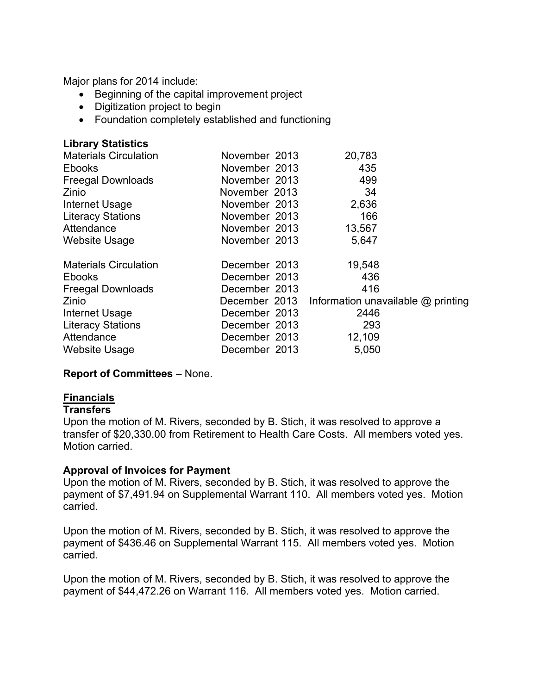Major plans for 2014 include:

- Beginning of the capital improvement project
- Digitization project to begin
- Foundation completely established and functioning

|  | 20,783                                                                                                                                                                                                                                                                       |
|--|------------------------------------------------------------------------------------------------------------------------------------------------------------------------------------------------------------------------------------------------------------------------------|
|  | 435                                                                                                                                                                                                                                                                          |
|  | 499                                                                                                                                                                                                                                                                          |
|  | 34                                                                                                                                                                                                                                                                           |
|  | 2,636                                                                                                                                                                                                                                                                        |
|  | 166                                                                                                                                                                                                                                                                          |
|  | 13,567                                                                                                                                                                                                                                                                       |
|  | 5.647                                                                                                                                                                                                                                                                        |
|  | 19,548                                                                                                                                                                                                                                                                       |
|  | 436                                                                                                                                                                                                                                                                          |
|  | 416                                                                                                                                                                                                                                                                          |
|  | Information unavailable $@$ printing                                                                                                                                                                                                                                         |
|  | 2446                                                                                                                                                                                                                                                                         |
|  | 293                                                                                                                                                                                                                                                                          |
|  | 12,109                                                                                                                                                                                                                                                                       |
|  | 5,050                                                                                                                                                                                                                                                                        |
|  | November 2013<br>November 2013<br>November 2013<br>November 2013<br>November 2013<br>November 2013<br>November 2013<br>November 2013<br>December 2013<br>December 2013<br>December 2013<br>December 2013<br>December 2013<br>December 2013<br>December 2013<br>December 2013 |

#### **Report of Committees** – None.

#### **Financials**

#### **Transfers**

Upon the motion of M. Rivers, seconded by B. Stich, it was resolved to approve a transfer of \$20,330.00 from Retirement to Health Care Costs. All members voted yes. Motion carried.

#### **Approval of Invoices for Payment**

Upon the motion of M. Rivers, seconded by B. Stich, it was resolved to approve the payment of \$7,491.94 on Supplemental Warrant 110. All members voted yes. Motion carried.

Upon the motion of M. Rivers, seconded by B. Stich, it was resolved to approve the payment of \$436.46 on Supplemental Warrant 115. All members voted yes. Motion carried.

Upon the motion of M. Rivers, seconded by B. Stich, it was resolved to approve the payment of \$44,472.26 on Warrant 116. All members voted yes. Motion carried.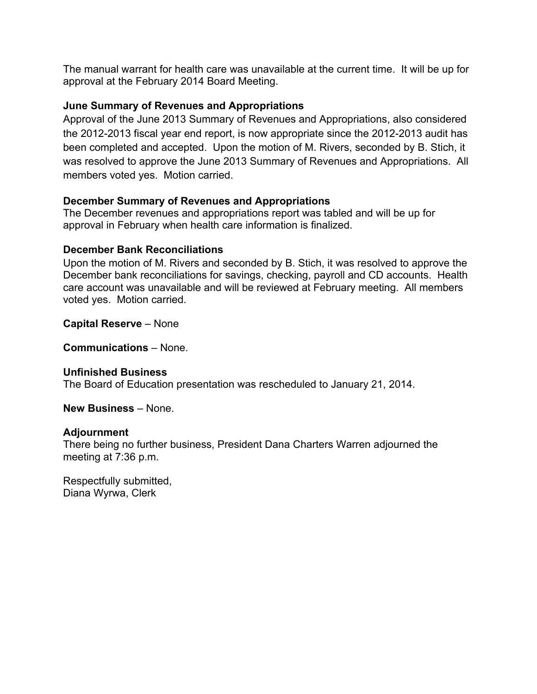The manual warrant for health care was unavailable at the current time. It will be up for approval at the February 2014 Board Meeting.

#### **June Summary of Revenues and Appropriations**

Approval of the June 2013 Summary of Revenues and Appropriations, also considered the 2012-2013 fiscal year end report, is now appropriate since the 2012-2013 audit has been completed and accepted. Upon the motion of M. Rivers, seconded by B. Stich, it was resolved to approve the June 2013 Summary of Revenues and Appropriations. All members voted yes. Motion carried.

#### **December Summary of Revenues and Appropriations**

The December revenues and appropriations report was tabled and will be up for approval in February when health care information is finalized.

#### **December Bank Reconciliations**

Upon the motion of M. Rivers and seconded by B. Stich, it was resolved to approve the December bank reconciliations for savings, checking, payroll and CD accounts. Health care account was unavailable and will be reviewed at February meeting. All members voted yes. Motion carried.

**Capital Reserve** – None

**Communications** – None.

**Unfinished Business**  The Board of Education presentation was rescheduled to January 21, 2014.

**New Business** – None.

#### **Adjournment**

There being no further business, President Dana Charters Warren adjourned the meeting at 7:36 p.m.

Respectfully submitted, Diana Wyrwa, Clerk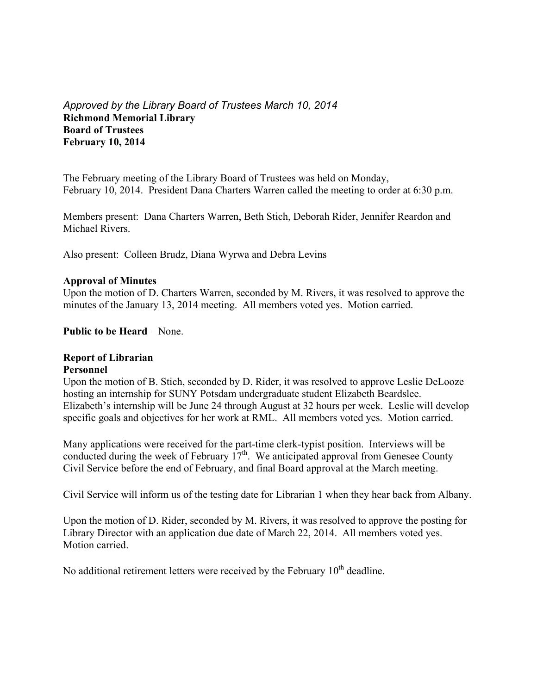#### *Approved by the Library Board of Trustees March 10, 2014*  **Richmond Memorial Library Board of Trustees February 10, 2014**

The February meeting of the Library Board of Trustees was held on Monday, February 10, 2014. President Dana Charters Warren called the meeting to order at 6:30 p.m.

Members present: Dana Charters Warren, Beth Stich, Deborah Rider, Jennifer Reardon and Michael Rivers.

Also present: Colleen Brudz, Diana Wyrwa and Debra Levins

#### **Approval of Minutes**

Upon the motion of D. Charters Warren, seconded by M. Rivers, it was resolved to approve the minutes of the January 13, 2014 meeting. All members voted yes. Motion carried.

**Public to be Heard** – None.

#### **Report of Librarian**

#### **Personnel**

Upon the motion of B. Stich, seconded by D. Rider, it was resolved to approve Leslie DeLooze hosting an internship for SUNY Potsdam undergraduate student Elizabeth Beardslee. Elizabeth's internship will be June 24 through August at 32 hours per week. Leslie will develop specific goals and objectives for her work at RML. All members voted yes. Motion carried.

Many applications were received for the part-time clerk-typist position. Interviews will be conducted during the week of February  $17<sup>th</sup>$ . We anticipated approval from Genesee County Civil Service before the end of February, and final Board approval at the March meeting.

Civil Service will inform us of the testing date for Librarian 1 when they hear back from Albany.

Upon the motion of D. Rider, seconded by M. Rivers, it was resolved to approve the posting for Library Director with an application due date of March 22, 2014. All members voted yes. Motion carried.

No additional retirement letters were received by the February  $10<sup>th</sup>$  deadline.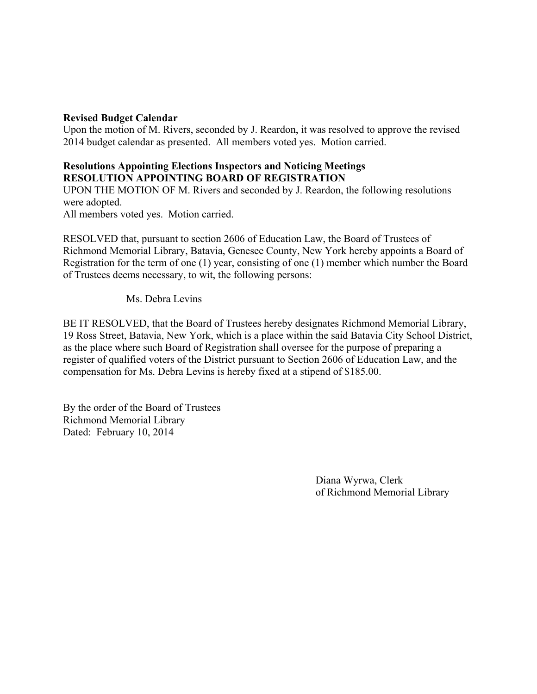#### **Revised Budget Calendar**

Upon the motion of M. Rivers, seconded by J. Reardon, it was resolved to approve the revised 2014 budget calendar as presented. All members voted yes. Motion carried.

#### **Resolutions Appointing Elections Inspectors and Noticing Meetings RESOLUTION APPOINTING BOARD OF REGISTRATION**

UPON THE MOTION OF M. Rivers and seconded by J. Reardon, the following resolutions were adopted.

All members voted yes. Motion carried.

RESOLVED that, pursuant to section 2606 of Education Law, the Board of Trustees of Richmond Memorial Library, Batavia, Genesee County, New York hereby appoints a Board of Registration for the term of one (1) year, consisting of one (1) member which number the Board of Trustees deems necessary, to wit, the following persons:

Ms. Debra Levins

BE IT RESOLVED, that the Board of Trustees hereby designates Richmond Memorial Library, 19 Ross Street, Batavia, New York, which is a place within the said Batavia City School District, as the place where such Board of Registration shall oversee for the purpose of preparing a register of qualified voters of the District pursuant to Section 2606 of Education Law, and the compensation for Ms. Debra Levins is hereby fixed at a stipend of \$185.00.

By the order of the Board of Trustees Richmond Memorial Library Dated: February 10, 2014

> Diana Wyrwa, Clerk of Richmond Memorial Library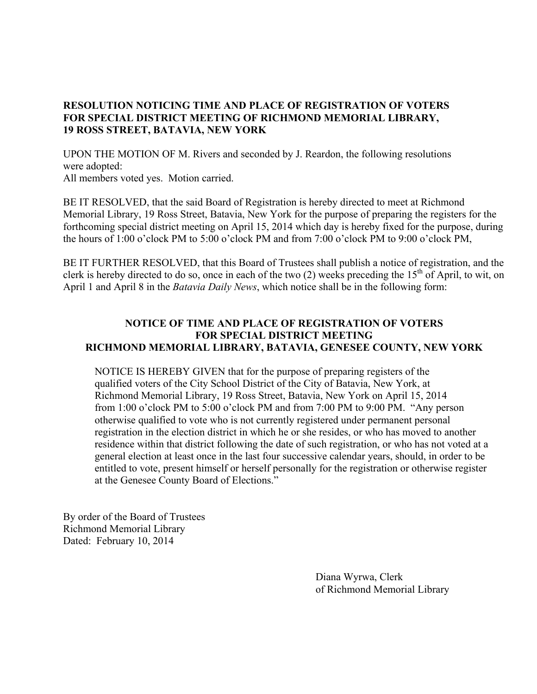#### **RESOLUTION NOTICING TIME AND PLACE OF REGISTRATION OF VOTERS FOR SPECIAL DISTRICT MEETING OF RICHMOND MEMORIAL LIBRARY, 19 ROSS STREET, BATAVIA, NEW YORK**

UPON THE MOTION OF M. Rivers and seconded by J. Reardon, the following resolutions were adopted:

All members voted yes. Motion carried.

BE IT RESOLVED, that the said Board of Registration is hereby directed to meet at Richmond Memorial Library, 19 Ross Street, Batavia, New York for the purpose of preparing the registers for the forthcoming special district meeting on April 15, 2014 which day is hereby fixed for the purpose, during the hours of 1:00 o'clock PM to 5:00 o'clock PM and from 7:00 o'clock PM to 9:00 o'clock PM,

BE IT FURTHER RESOLVED, that this Board of Trustees shall publish a notice of registration, and the clerk is hereby directed to do so, once in each of the two  $(2)$  weeks preceding the 15<sup>th</sup> of April, to wit, on April 1 and April 8 in the *Batavia Daily News*, which notice shall be in the following form:

#### **NOTICE OF TIME AND PLACE OF REGISTRATION OF VOTERS FOR SPECIAL DISTRICT MEETING RICHMOND MEMORIAL LIBRARY, BATAVIA, GENESEE COUNTY, NEW YORK**

NOTICE IS HEREBY GIVEN that for the purpose of preparing registers of the qualified voters of the City School District of the City of Batavia, New York, at Richmond Memorial Library, 19 Ross Street, Batavia, New York on April 15, 2014 from 1:00 o'clock PM to 5:00 o'clock PM and from 7:00 PM to 9:00 PM. "Any person otherwise qualified to vote who is not currently registered under permanent personal registration in the election district in which he or she resides, or who has moved to another residence within that district following the date of such registration, or who has not voted at a general election at least once in the last four successive calendar years, should, in order to be entitled to vote, present himself or herself personally for the registration or otherwise register at the Genesee County Board of Elections."

By order of the Board of Trustees Richmond Memorial Library Dated: February 10, 2014

> Diana Wyrwa, Clerk of Richmond Memorial Library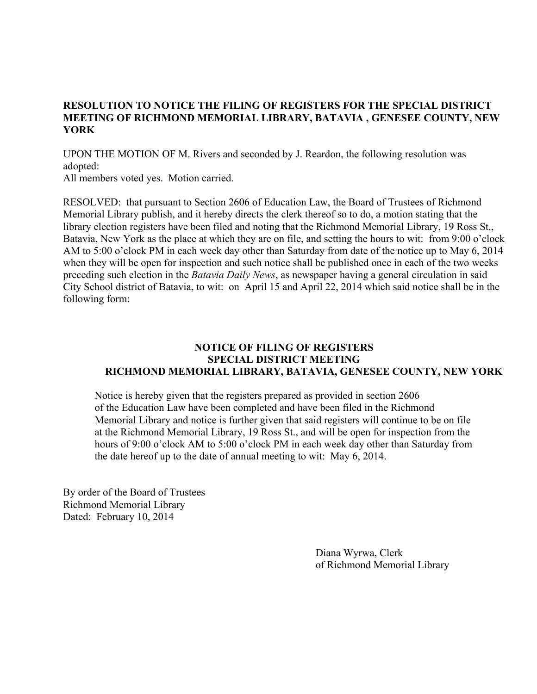#### **RESOLUTION TO NOTICE THE FILING OF REGISTERS FOR THE SPECIAL DISTRICT MEETING OF RICHMOND MEMORIAL LIBRARY, BATAVIA , GENESEE COUNTY, NEW YORK**

UPON THE MOTION OF M. Rivers and seconded by J. Reardon, the following resolution was adopted:

All members voted yes. Motion carried.

RESOLVED: that pursuant to Section 2606 of Education Law, the Board of Trustees of Richmond Memorial Library publish, and it hereby directs the clerk thereof so to do, a motion stating that the library election registers have been filed and noting that the Richmond Memorial Library, 19 Ross St., Batavia, New York as the place at which they are on file, and setting the hours to wit: from 9:00 o'clock AM to 5:00 o'clock PM in each week day other than Saturday from date of the notice up to May 6, 2014 when they will be open for inspection and such notice shall be published once in each of the two weeks preceding such election in the *Batavia Daily News*, as newspaper having a general circulation in said City School district of Batavia, to wit: on April 15 and April 22, 2014 which said notice shall be in the following form:

#### **NOTICE OF FILING OF REGISTERS SPECIAL DISTRICT MEETING RICHMOND MEMORIAL LIBRARY, BATAVIA, GENESEE COUNTY, NEW YORK**

 Notice is hereby given that the registers prepared as provided in section 2606 of the Education Law have been completed and have been filed in the Richmond Memorial Library and notice is further given that said registers will continue to be on file at the Richmond Memorial Library, 19 Ross St., and will be open for inspection from the hours of 9:00 o'clock AM to 5:00 o'clock PM in each week day other than Saturday from the date hereof up to the date of annual meeting to wit: May 6, 2014.

By order of the Board of Trustees Richmond Memorial Library Dated: February 10, 2014

> Diana Wyrwa, Clerk of Richmond Memorial Library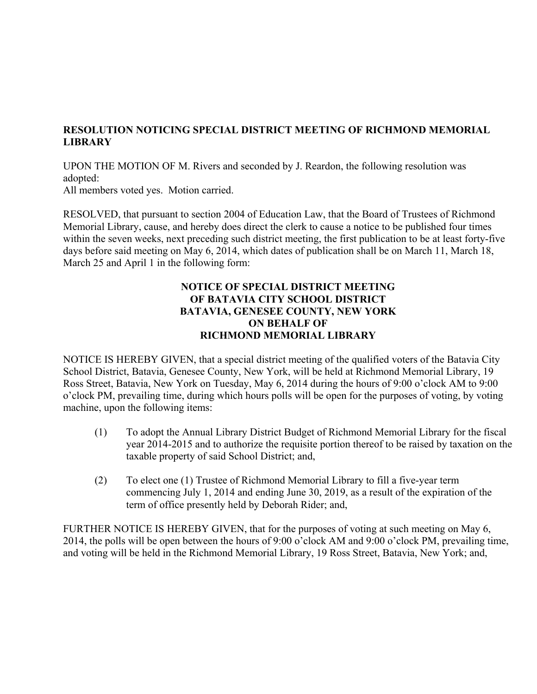#### **RESOLUTION NOTICING SPECIAL DISTRICT MEETING OF RICHMOND MEMORIAL LIBRARY**

UPON THE MOTION OF M. Rivers and seconded by J. Reardon, the following resolution was adopted:

All members voted yes. Motion carried.

RESOLVED, that pursuant to section 2004 of Education Law, that the Board of Trustees of Richmond Memorial Library, cause, and hereby does direct the clerk to cause a notice to be published four times within the seven weeks, next preceding such district meeting, the first publication to be at least forty-five days before said meeting on May 6, 2014, which dates of publication shall be on March 11, March 18, March 25 and April 1 in the following form:

#### **NOTICE OF SPECIAL DISTRICT MEETING OF BATAVIA CITY SCHOOL DISTRICT BATAVIA, GENESEE COUNTY, NEW YORK ON BEHALF OF RICHMOND MEMORIAL LIBRARY**

NOTICE IS HEREBY GIVEN, that a special district meeting of the qualified voters of the Batavia City School District, Batavia, Genesee County, New York, will be held at Richmond Memorial Library, 19 Ross Street, Batavia, New York on Tuesday, May 6, 2014 during the hours of 9:00 o'clock AM to 9:00 o'clock PM, prevailing time, during which hours polls will be open for the purposes of voting, by voting machine, upon the following items:

- (1) To adopt the Annual Library District Budget of Richmond Memorial Library for the fiscal year 2014-2015 and to authorize the requisite portion thereof to be raised by taxation on the taxable property of said School District; and,
- (2) To elect one (1) Trustee of Richmond Memorial Library to fill a five-year term commencing July 1, 2014 and ending June 30, 2019, as a result of the expiration of the term of office presently held by Deborah Rider; and,

FURTHER NOTICE IS HEREBY GIVEN, that for the purposes of voting at such meeting on May 6, 2014, the polls will be open between the hours of 9:00 o'clock AM and 9:00 o'clock PM, prevailing time, and voting will be held in the Richmond Memorial Library, 19 Ross Street, Batavia, New York; and,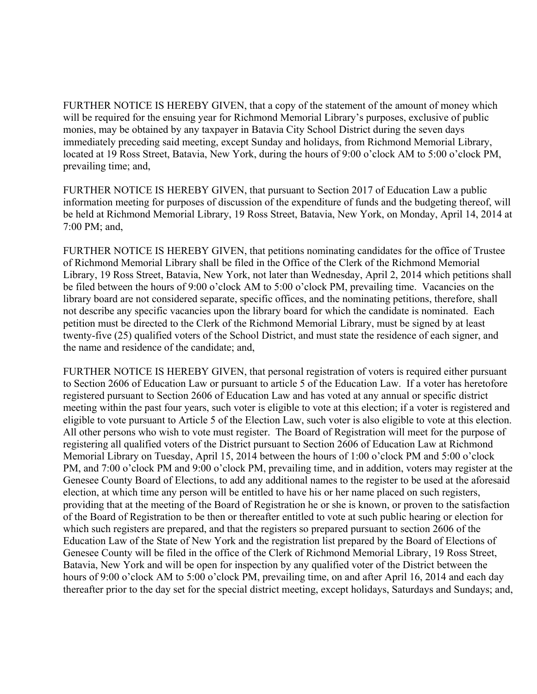FURTHER NOTICE IS HEREBY GIVEN, that a copy of the statement of the amount of money which will be required for the ensuing year for Richmond Memorial Library's purposes, exclusive of public monies, may be obtained by any taxpayer in Batavia City School District during the seven days immediately preceding said meeting, except Sunday and holidays, from Richmond Memorial Library, located at 19 Ross Street, Batavia, New York, during the hours of 9:00 o'clock AM to 5:00 o'clock PM, prevailing time; and,

FURTHER NOTICE IS HEREBY GIVEN, that pursuant to Section 2017 of Education Law a public information meeting for purposes of discussion of the expenditure of funds and the budgeting thereof, will be held at Richmond Memorial Library, 19 Ross Street, Batavia, New York, on Monday, April 14, 2014 at 7:00 PM; and,

FURTHER NOTICE IS HEREBY GIVEN, that petitions nominating candidates for the office of Trustee of Richmond Memorial Library shall be filed in the Office of the Clerk of the Richmond Memorial Library, 19 Ross Street, Batavia, New York, not later than Wednesday, April 2, 2014 which petitions shall be filed between the hours of 9:00 o'clock AM to 5:00 o'clock PM, prevailing time. Vacancies on the library board are not considered separate, specific offices, and the nominating petitions, therefore, shall not describe any specific vacancies upon the library board for which the candidate is nominated. Each petition must be directed to the Clerk of the Richmond Memorial Library, must be signed by at least twenty-five (25) qualified voters of the School District, and must state the residence of each signer, and the name and residence of the candidate; and,

FURTHER NOTICE IS HEREBY GIVEN, that personal registration of voters is required either pursuant to Section 2606 of Education Law or pursuant to article 5 of the Education Law. If a voter has heretofore registered pursuant to Section 2606 of Education Law and has voted at any annual or specific district meeting within the past four years, such voter is eligible to vote at this election; if a voter is registered and eligible to vote pursuant to Article 5 of the Election Law, such voter is also eligible to vote at this election. All other persons who wish to vote must register. The Board of Registration will meet for the purpose of registering all qualified voters of the District pursuant to Section 2606 of Education Law at Richmond Memorial Library on Tuesday, April 15, 2014 between the hours of 1:00 o'clock PM and 5:00 o'clock PM, and 7:00 o'clock PM and 9:00 o'clock PM, prevailing time, and in addition, voters may register at the Genesee County Board of Elections, to add any additional names to the register to be used at the aforesaid election, at which time any person will be entitled to have his or her name placed on such registers, providing that at the meeting of the Board of Registration he or she is known, or proven to the satisfaction of the Board of Registration to be then or thereafter entitled to vote at such public hearing or election for which such registers are prepared, and that the registers so prepared pursuant to section 2606 of the Education Law of the State of New York and the registration list prepared by the Board of Elections of Genesee County will be filed in the office of the Clerk of Richmond Memorial Library, 19 Ross Street, Batavia, New York and will be open for inspection by any qualified voter of the District between the hours of 9:00 o'clock AM to 5:00 o'clock PM, prevailing time, on and after April 16, 2014 and each day thereafter prior to the day set for the special district meeting, except holidays, Saturdays and Sundays; and,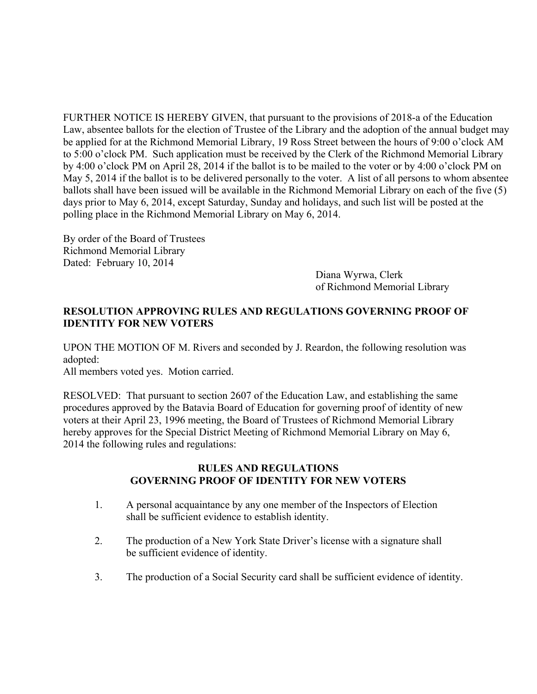FURTHER NOTICE IS HEREBY GIVEN, that pursuant to the provisions of 2018-a of the Education Law, absentee ballots for the election of Trustee of the Library and the adoption of the annual budget may be applied for at the Richmond Memorial Library, 19 Ross Street between the hours of 9:00 o'clock AM to 5:00 o'clock PM. Such application must be received by the Clerk of the Richmond Memorial Library by 4:00 o'clock PM on April 28, 2014 if the ballot is to be mailed to the voter or by 4:00 o'clock PM on May 5, 2014 if the ballot is to be delivered personally to the voter. A list of all persons to whom absentee ballots shall have been issued will be available in the Richmond Memorial Library on each of the five (5) days prior to May 6, 2014, except Saturday, Sunday and holidays, and such list will be posted at the polling place in the Richmond Memorial Library on May 6, 2014.

By order of the Board of Trustees Richmond Memorial Library Dated: February 10, 2014

Diana Wyrwa, Clerk of Richmond Memorial Library

#### **RESOLUTION APPROVING RULES AND REGULATIONS GOVERNING PROOF OF IDENTITY FOR NEW VOTERS**

UPON THE MOTION OF M. Rivers and seconded by J. Reardon, the following resolution was adopted:

All members voted yes. Motion carried.

RESOLVED: That pursuant to section 2607 of the Education Law, and establishing the same procedures approved by the Batavia Board of Education for governing proof of identity of new voters at their April 23, 1996 meeting, the Board of Trustees of Richmond Memorial Library hereby approves for the Special District Meeting of Richmond Memorial Library on May 6, 2014 the following rules and regulations:

#### **RULES AND REGULATIONS GOVERNING PROOF OF IDENTITY FOR NEW VOTERS**

- 1. A personal acquaintance by any one member of the Inspectors of Election shall be sufficient evidence to establish identity.
- 2. The production of a New York State Driver's license with a signature shall be sufficient evidence of identity.
- 3. The production of a Social Security card shall be sufficient evidence of identity.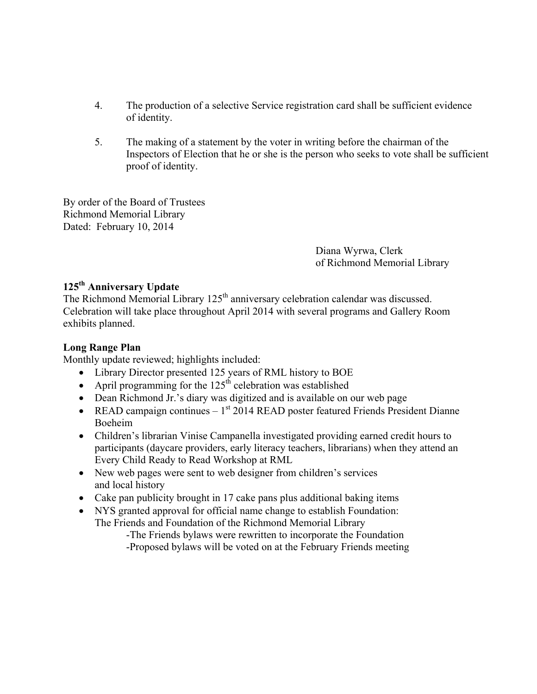- 4. The production of a selective Service registration card shall be sufficient evidence of identity.
- 5. The making of a statement by the voter in writing before the chairman of the Inspectors of Election that he or she is the person who seeks to vote shall be sufficient proof of identity.

By order of the Board of Trustees Richmond Memorial Library Dated: February 10, 2014

> Diana Wyrwa, Clerk of Richmond Memorial Library

# **125th Anniversary Update**

The Richmond Memorial Library 125<sup>th</sup> anniversary celebration calendar was discussed. Celebration will take place throughout April 2014 with several programs and Gallery Room exhibits planned.

#### **Long Range Plan**

Monthly update reviewed; highlights included:

- Library Director presented 125 years of RML history to BOE
- April programming for the  $125<sup>th</sup>$  celebration was established
- Dean Richmond Jr.'s diary was digitized and is available on our web page
- READ campaign continues  $-1<sup>st</sup> 2014$  READ poster featured Friends President Dianne Boeheim
- Children's librarian Vinise Campanella investigated providing earned credit hours to participants (daycare providers, early literacy teachers, librarians) when they attend an Every Child Ready to Read Workshop at RML
- New web pages were sent to web designer from children's services and local history
- Cake pan publicity brought in 17 cake pans plus additional baking items
- NYS granted approval for official name change to establish Foundation: The Friends and Foundation of the Richmond Memorial Library

-The Friends bylaws were rewritten to incorporate the Foundation -Proposed bylaws will be voted on at the February Friends meeting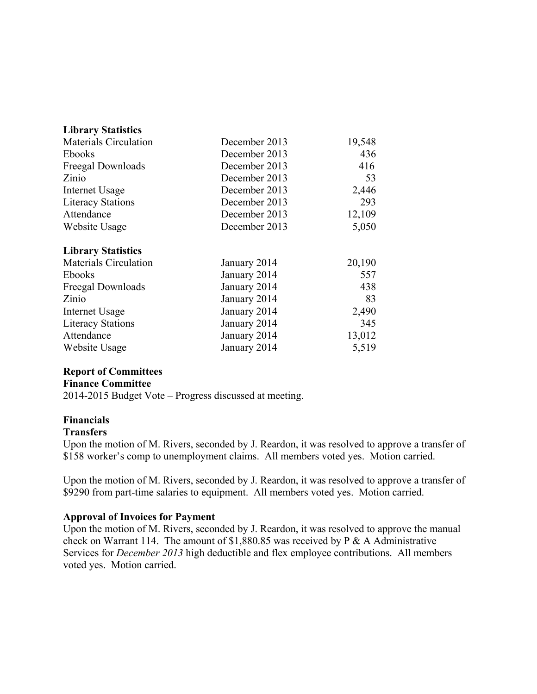| <b>Library Statistics</b>    |               |        |
|------------------------------|---------------|--------|
| <b>Materials Circulation</b> | December 2013 | 19,548 |
| Ebooks                       | December 2013 | 436    |
| Freegal Downloads            | December 2013 | 416    |
| Zinio                        | December 2013 | 53     |
| Internet Usage               | December 2013 | 2,446  |
| <b>Literacy Stations</b>     | December 2013 | 293    |
| Attendance                   | December 2013 | 12,109 |
| Website Usage                | December 2013 | 5,050  |
| <b>Library Statistics</b>    |               |        |
| <b>Materials Circulation</b> | January 2014  | 20,190 |
| <b>Ebooks</b>                | January 2014  | 557    |
| Freegal Downloads            | January 2014  | 438    |
| Zinio                        | January 2014  | 83     |
| Internet Usage               | January 2014  | 2,490  |
| <b>Literacy Stations</b>     | January 2014  | 345    |
| Attendance                   | January 2014  | 13,012 |
| Website Usage                | January 2014  | 5,519  |

#### **Report of Committees**

#### **Finance Committee**

2014-2015 Budget Vote – Progress discussed at meeting.

#### **Financials**

#### **Transfers**

Upon the motion of M. Rivers, seconded by J. Reardon, it was resolved to approve a transfer of \$158 worker's comp to unemployment claims. All members voted yes. Motion carried.

Upon the motion of M. Rivers, seconded by J. Reardon, it was resolved to approve a transfer of \$9290 from part-time salaries to equipment. All members voted yes. Motion carried.

#### **Approval of Invoices for Payment**

Upon the motion of M. Rivers, seconded by J. Reardon, it was resolved to approve the manual check on Warrant 114. The amount of \$1,880.85 was received by P & A Administrative Services for *December 2013* high deductible and flex employee contributions. All members voted yes. Motion carried.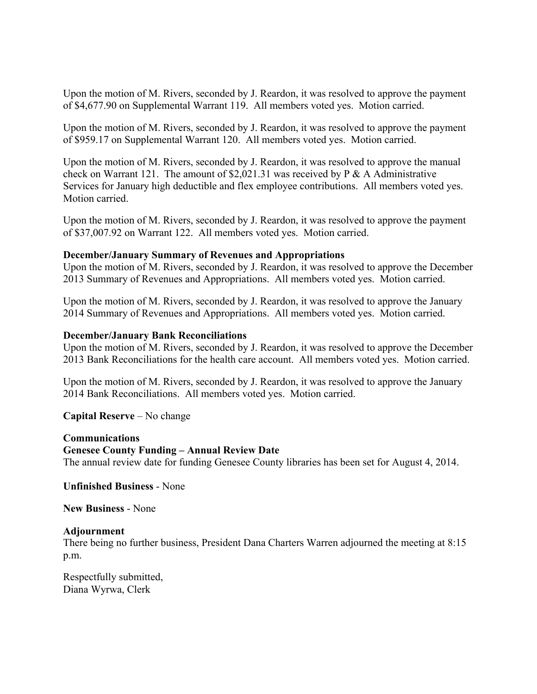Upon the motion of M. Rivers, seconded by J. Reardon, it was resolved to approve the payment of \$4,677.90 on Supplemental Warrant 119. All members voted yes. Motion carried.

Upon the motion of M. Rivers, seconded by J. Reardon, it was resolved to approve the payment of \$959.17 on Supplemental Warrant 120. All members voted yes. Motion carried.

Upon the motion of M. Rivers, seconded by J. Reardon, it was resolved to approve the manual check on Warrant 121. The amount of \$2,021.31 was received by P & A Administrative Services for January high deductible and flex employee contributions. All members voted yes. Motion carried.

Upon the motion of M. Rivers, seconded by J. Reardon, it was resolved to approve the payment of \$37,007.92 on Warrant 122. All members voted yes. Motion carried.

#### **December/January Summary of Revenues and Appropriations**

Upon the motion of M. Rivers, seconded by J. Reardon, it was resolved to approve the December 2013 Summary of Revenues and Appropriations. All members voted yes. Motion carried.

Upon the motion of M. Rivers, seconded by J. Reardon, it was resolved to approve the January 2014 Summary of Revenues and Appropriations. All members voted yes. Motion carried.

#### **December/January Bank Reconciliations**

Upon the motion of M. Rivers, seconded by J. Reardon, it was resolved to approve the December 2013 Bank Reconciliations for the health care account. All members voted yes. Motion carried.

Upon the motion of M. Rivers, seconded by J. Reardon, it was resolved to approve the January 2014 Bank Reconciliations. All members voted yes. Motion carried.

**Capital Reserve** – No change

#### **Communications**

#### **Genesee County Funding – Annual Review Date**

The annual review date for funding Genesee County libraries has been set for August 4, 2014.

#### **Unfinished Business** - None

**New Business** - None

#### **Adjournment**

There being no further business, President Dana Charters Warren adjourned the meeting at 8:15 p.m.

Respectfully submitted, Diana Wyrwa, Clerk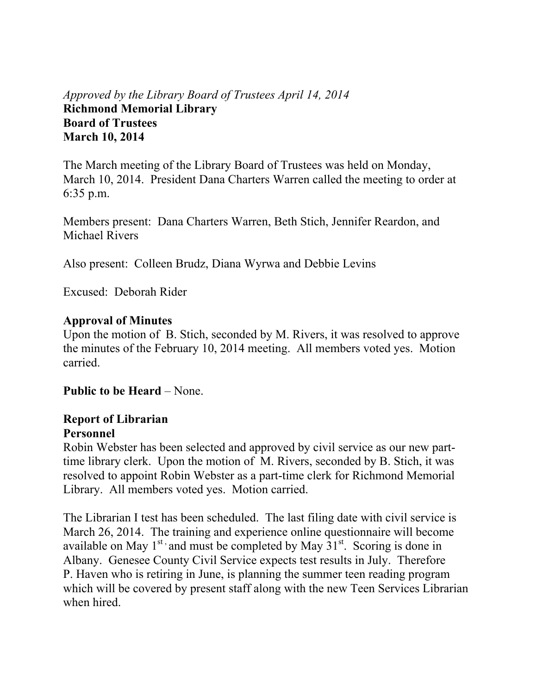# *Approved by the Library Board of Trustees April 14, 2014*  **Richmond Memorial Library Board of Trustees March 10, 2014**

The March meeting of the Library Board of Trustees was held on Monday, March 10, 2014. President Dana Charters Warren called the meeting to order at 6:35 p.m.

Members present: Dana Charters Warren, Beth Stich, Jennifer Reardon, and Michael Rivers

Also present: Colleen Brudz, Diana Wyrwa and Debbie Levins

Excused: Deborah Rider

#### **Approval of Minutes**

Upon the motion of B. Stich, seconded by M. Rivers, it was resolved to approve the minutes of the February 10, 2014 meeting. All members voted yes. Motion carried.

**Public to be Heard** – None.

### **Report of Librarian Personnel**

Robin Webster has been selected and approved by civil service as our new parttime library clerk. Upon the motion of M. Rivers, seconded by B. Stich, it was resolved to appoint Robin Webster as a part-time clerk for Richmond Memorial Library. All members voted yes. Motion carried.

The Librarian I test has been scheduled. The last filing date with civil service is March 26, 2014. The training and experience online questionnaire will become available on May  $1^{st}$  and must be completed by May  $31^{st}$ . Scoring is done in Albany. Genesee County Civil Service expects test results in July. Therefore P. Haven who is retiring in June, is planning the summer teen reading program which will be covered by present staff along with the new Teen Services Librarian when hired.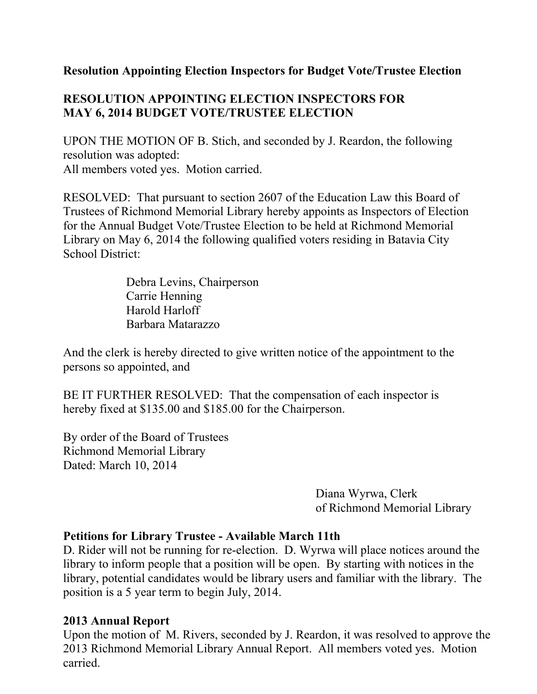### **Resolution Appointing Election Inspectors for Budget Vote/Trustee Election**

# **RESOLUTION APPOINTING ELECTION INSPECTORS FOR MAY 6, 2014 BUDGET VOTE/TRUSTEE ELECTION**

UPON THE MOTION OF B. Stich, and seconded by J. Reardon, the following resolution was adopted: All members voted yes. Motion carried.

RESOLVED: That pursuant to section 2607 of the Education Law this Board of Trustees of Richmond Memorial Library hereby appoints as Inspectors of Election for the Annual Budget Vote/Trustee Election to be held at Richmond Memorial Library on May 6, 2014 the following qualified voters residing in Batavia City School District:

> Debra Levins, Chairperson Carrie Henning Harold Harloff Barbara Matarazzo

And the clerk is hereby directed to give written notice of the appointment to the persons so appointed, and

BE IT FURTHER RESOLVED: That the compensation of each inspector is hereby fixed at \$135.00 and \$185.00 for the Chairperson.

By order of the Board of Trustees Richmond Memorial Library Dated: March 10, 2014

> Diana Wyrwa, Clerk of Richmond Memorial Library

#### **Petitions for Library Trustee - Available March 11th**

D. Rider will not be running for re-election. D. Wyrwa will place notices around the library to inform people that a position will be open. By starting with notices in the library, potential candidates would be library users and familiar with the library. The position is a 5 year term to begin July, 2014.

#### **2013 Annual Report**

Upon the motion of M. Rivers, seconded by J. Reardon, it was resolved to approve the 2013 Richmond Memorial Library Annual Report. All members voted yes. Motion carried.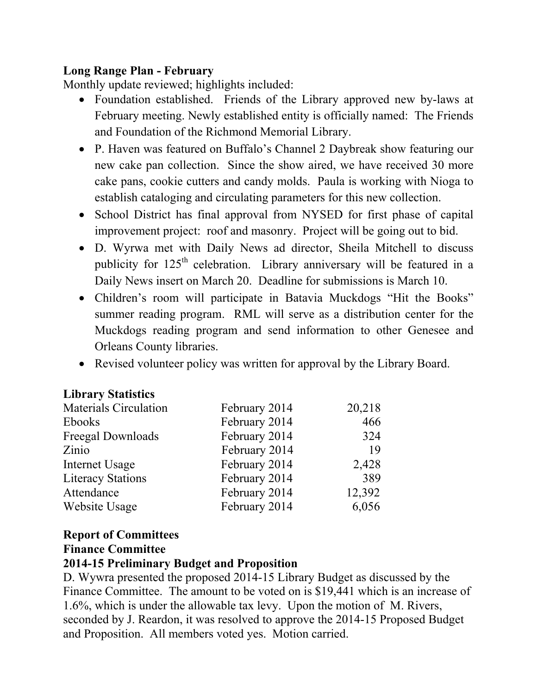# **Long Range Plan - February**

Monthly update reviewed; highlights included:

- Foundation established. Friends of the Library approved new by-laws at February meeting. Newly established entity is officially named: The Friends and Foundation of the Richmond Memorial Library.
- P. Haven was featured on Buffalo's Channel 2 Daybreak show featuring our new cake pan collection. Since the show aired, we have received 30 more cake pans, cookie cutters and candy molds. Paula is working with Nioga to establish cataloging and circulating parameters for this new collection.
- School District has final approval from NYSED for first phase of capital improvement project: roof and masonry. Project will be going out to bid.
- D. Wyrwa met with Daily News ad director, Sheila Mitchell to discuss publicity for  $125<sup>th</sup>$  celebration. Library anniversary will be featured in a Daily News insert on March 20. Deadline for submissions is March 10.
- Children's room will participate in Batavia Muckdogs "Hit the Books" summer reading program. RML will serve as a distribution center for the Muckdogs reading program and send information to other Genesee and Orleans County libraries.
- Revised volunteer policy was written for approval by the Library Board.

| <b>Library Statistics</b>    |               |        |
|------------------------------|---------------|--------|
| <b>Materials Circulation</b> | February 2014 | 20,218 |
| Ebooks                       | February 2014 | 466    |
| Freegal Downloads            | February 2014 | 324    |
| Zinio                        | February 2014 | 19     |
| Internet Usage               | February 2014 | 2,428  |
| <b>Literacy Stations</b>     | February 2014 | 389    |
| Attendance                   | February 2014 | 12,392 |
| Website Usage                | February 2014 | 6,056  |

# **Report of Committees**

### **Finance Committee**

### **2014-15 Preliminary Budget and Proposition**

D. Wywra presented the proposed 2014-15 Library Budget as discussed by the Finance Committee. The amount to be voted on is \$19,441 which is an increase of 1.6%, which is under the allowable tax levy. Upon the motion of M. Rivers, seconded by J. Reardon, it was resolved to approve the 2014-15 Proposed Budget and Proposition. All members voted yes. Motion carried.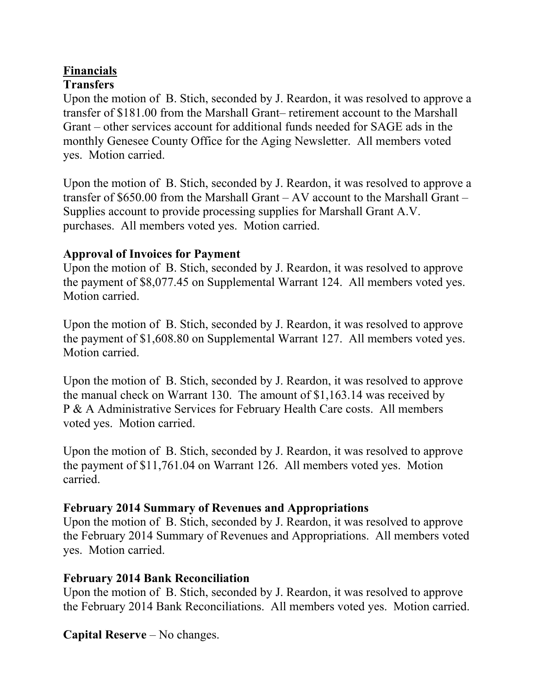# **Financials**

# **Transfers**

Upon the motion of B. Stich, seconded by J. Reardon, it was resolved to approve a transfer of \$181.00 from the Marshall Grant– retirement account to the Marshall Grant – other services account for additional funds needed for SAGE ads in the monthly Genesee County Office for the Aging Newsletter. All members voted yes. Motion carried.

Upon the motion of B. Stich, seconded by J. Reardon, it was resolved to approve a transfer of \$650.00 from the Marshall Grant – AV account to the Marshall Grant – Supplies account to provide processing supplies for Marshall Grant A.V. purchases. All members voted yes. Motion carried.

# **Approval of Invoices for Payment**

Upon the motion of B. Stich, seconded by J. Reardon, it was resolved to approve the payment of \$8,077.45 on Supplemental Warrant 124. All members voted yes. Motion carried.

Upon the motion of B. Stich, seconded by J. Reardon, it was resolved to approve the payment of \$1,608.80 on Supplemental Warrant 127. All members voted yes. Motion carried.

Upon the motion of B. Stich, seconded by J. Reardon, it was resolved to approve the manual check on Warrant 130. The amount of \$1,163.14 was received by P & A Administrative Services for February Health Care costs. All members voted yes. Motion carried.

Upon the motion of B. Stich, seconded by J. Reardon, it was resolved to approve the payment of \$11,761.04 on Warrant 126. All members voted yes. Motion carried.

# **February 2014 Summary of Revenues and Appropriations**

Upon the motion of B. Stich, seconded by J. Reardon, it was resolved to approve the February 2014 Summary of Revenues and Appropriations. All members voted yes. Motion carried.

# **February 2014 Bank Reconciliation**

Upon the motion of B. Stich, seconded by J. Reardon, it was resolved to approve the February 2014 Bank Reconciliations. All members voted yes. Motion carried.

**Capital Reserve** – No changes.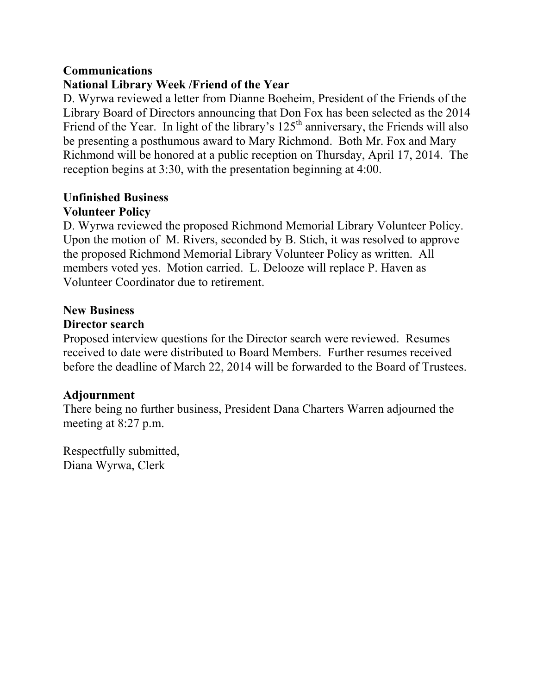### **Communications**

# **National Library Week /Friend of the Year**

D. Wyrwa reviewed a letter from Dianne Boeheim, President of the Friends of the Library Board of Directors announcing that Don Fox has been selected as the 2014 Friend of the Year. In light of the library's  $125<sup>th</sup>$  anniversary, the Friends will also be presenting a posthumous award to Mary Richmond. Both Mr. Fox and Mary Richmond will be honored at a public reception on Thursday, April 17, 2014. The reception begins at 3:30, with the presentation beginning at 4:00.

### **Unfinished Business Volunteer Policy**

D. Wyrwa reviewed the proposed Richmond Memorial Library Volunteer Policy. Upon the motion of M. Rivers, seconded by B. Stich, it was resolved to approve the proposed Richmond Memorial Library Volunteer Policy as written. All members voted yes. Motion carried. L. Delooze will replace P. Haven as Volunteer Coordinator due to retirement.

# **New Business**

# **Director search**

Proposed interview questions for the Director search were reviewed. Resumes received to date were distributed to Board Members. Further resumes received before the deadline of March 22, 2014 will be forwarded to the Board of Trustees.

# **Adjournment**

There being no further business, President Dana Charters Warren adjourned the meeting at 8:27 p.m.

Respectfully submitted, Diana Wyrwa, Clerk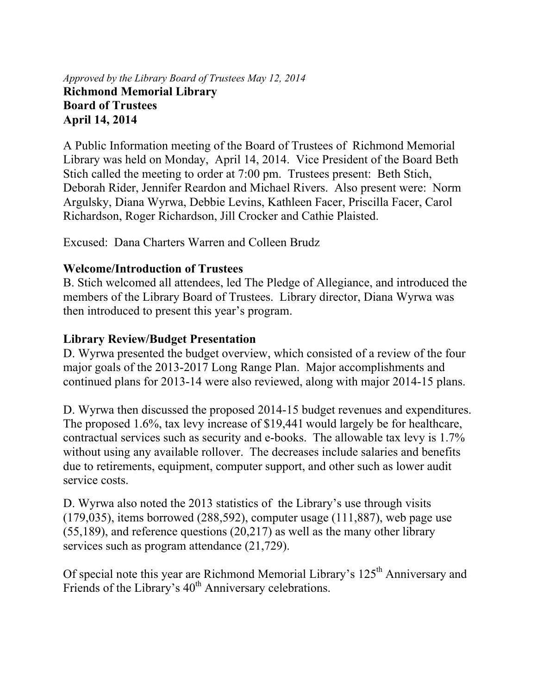# *Approved by the Library Board of Trustees May 12, 2014*  **Richmond Memorial Library Board of Trustees April 14, 2014**

A Public Information meeting of the Board of Trustees of Richmond Memorial Library was held on Monday, April 14, 2014. Vice President of the Board Beth Stich called the meeting to order at 7:00 pm. Trustees present: Beth Stich, Deborah Rider, Jennifer Reardon and Michael Rivers. Also present were: Norm Argulsky, Diana Wyrwa, Debbie Levins, Kathleen Facer, Priscilla Facer, Carol Richardson, Roger Richardson, Jill Crocker and Cathie Plaisted.

Excused: Dana Charters Warren and Colleen Brudz

# **Welcome/Introduction of Trustees**

B. Stich welcomed all attendees, led The Pledge of Allegiance, and introduced the members of the Library Board of Trustees. Library director, Diana Wyrwa was then introduced to present this year's program.

# **Library Review/Budget Presentation**

D. Wyrwa presented the budget overview, which consisted of a review of the four major goals of the 2013-2017 Long Range Plan. Major accomplishments and continued plans for 2013-14 were also reviewed, along with major 2014-15 plans.

D. Wyrwa then discussed the proposed 2014-15 budget revenues and expenditures. The proposed 1.6%, tax levy increase of \$19,441 would largely be for healthcare, contractual services such as security and e-books. The allowable tax levy is 1.7% without using any available rollover. The decreases include salaries and benefits due to retirements, equipment, computer support, and other such as lower audit service costs.

D. Wyrwa also noted the 2013 statistics of the Library's use through visits  $(179,035)$ , items borrowed  $(288,592)$ , computer usage  $(111,887)$ , web page use (55,189), and reference questions (20,217) as well as the many other library services such as program attendance (21,729).

Of special note this year are Richmond Memorial Library's 125<sup>th</sup> Anniversary and Friends of the Library's  $40<sup>th</sup>$  Anniversary celebrations.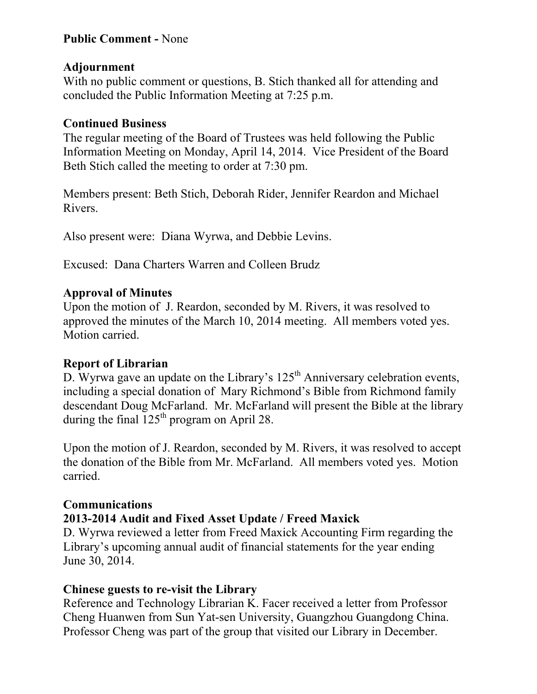# **Public Comment -** None

### **Adjournment**

With no public comment or questions, B. Stich thanked all for attending and concluded the Public Information Meeting at 7:25 p.m.

### **Continued Business**

The regular meeting of the Board of Trustees was held following the Public Information Meeting on Monday, April 14, 2014. Vice President of the Board Beth Stich called the meeting to order at 7:30 pm.

Members present: Beth Stich, Deborah Rider, Jennifer Reardon and Michael Rivers.

Also present were: Diana Wyrwa, and Debbie Levins.

Excused: Dana Charters Warren and Colleen Brudz

# **Approval of Minutes**

Upon the motion of J. Reardon, seconded by M. Rivers, it was resolved to approved the minutes of the March 10, 2014 meeting. All members voted yes. Motion carried.

# **Report of Librarian**

D. Wyrwa gave an update on the Library's  $125<sup>th</sup>$  Anniversary celebration events, including a special donation of Mary Richmond's Bible from Richmond family descendant Doug McFarland. Mr. McFarland will present the Bible at the library during the final  $125<sup>th</sup>$  program on April 28.

Upon the motion of J. Reardon, seconded by M. Rivers, it was resolved to accept the donation of the Bible from Mr. McFarland. All members voted yes. Motion carried.

# **Communications**

# **2013-2014 Audit and Fixed Asset Update / Freed Maxick**

D. Wyrwa reviewed a letter from Freed Maxick Accounting Firm regarding the Library's upcoming annual audit of financial statements for the year ending June 30, 2014.

# **Chinese guests to re-visit the Library**

Reference and Technology Librarian K. Facer received a letter from Professor Cheng Huanwen from Sun Yat-sen University, Guangzhou Guangdong China. Professor Cheng was part of the group that visited our Library in December.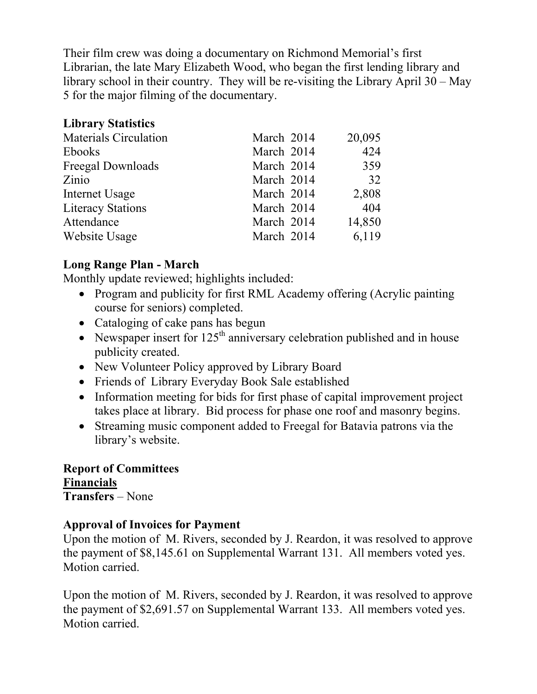Their film crew was doing a documentary on Richmond Memorial's first Librarian, the late Mary Elizabeth Wood, who began the first lending library and library school in their country. They will be re-visiting the Library April 30 – May 5 for the major filming of the documentary.

### **Library Statistics**

| <b>Materials Circulation</b> | March 2014 | 20,095 |
|------------------------------|------------|--------|
| <b>Ebooks</b>                | March 2014 | 424    |
| Freegal Downloads            | March 2014 | 359    |
| Zinio                        | March 2014 | 32     |
| Internet Usage               | March 2014 | 2,808  |
| <b>Literacy Stations</b>     | March 2014 | 404    |
| Attendance                   | March 2014 | 14,850 |
| Website Usage                | March 2014 | 6,119  |

# **Long Range Plan - March**

Monthly update reviewed; highlights included:

- Program and publicity for first RML Academy offering (Acrylic painting course for seniors) completed.
- Cataloging of cake pans has begun
- Newspaper insert for  $125<sup>th</sup>$  anniversary celebration published and in house publicity created.
- New Volunteer Policy approved by Library Board
- Friends of Library Everyday Book Sale established
- Information meeting for bids for first phase of capital improvement project takes place at library. Bid process for phase one roof and masonry begins.
- Streaming music component added to Freegal for Batavia patrons via the library's website.

**Report of Committees Financials Transfers** – None

# **Approval of Invoices for Payment**

Upon the motion of M. Rivers, seconded by J. Reardon, it was resolved to approve the payment of \$8,145.61 on Supplemental Warrant 131. All members voted yes. Motion carried.

Upon the motion of M. Rivers, seconded by J. Reardon, it was resolved to approve the payment of \$2,691.57 on Supplemental Warrant 133. All members voted yes. Motion carried.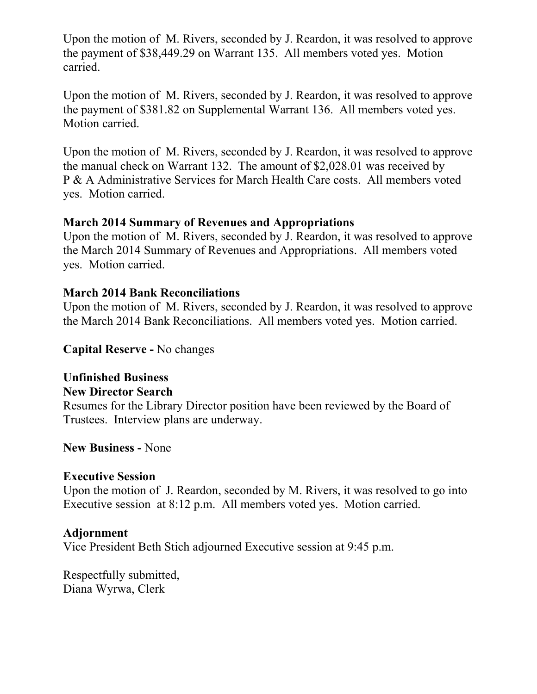Upon the motion of M. Rivers, seconded by J. Reardon, it was resolved to approve the payment of \$38,449.29 on Warrant 135. All members voted yes. Motion carried.

Upon the motion of M. Rivers, seconded by J. Reardon, it was resolved to approve the payment of \$381.82 on Supplemental Warrant 136. All members voted yes. Motion carried.

Upon the motion of M. Rivers, seconded by J. Reardon, it was resolved to approve the manual check on Warrant 132. The amount of \$2,028.01 was received by P & A Administrative Services for March Health Care costs. All members voted yes. Motion carried.

### **March 2014 Summary of Revenues and Appropriations**

Upon the motion of M. Rivers, seconded by J. Reardon, it was resolved to approve the March 2014 Summary of Revenues and Appropriations. All members voted yes. Motion carried.

# **March 2014 Bank Reconciliations**

Upon the motion of M. Rivers, seconded by J. Reardon, it was resolved to approve the March 2014 Bank Reconciliations. All members voted yes. Motion carried.

**Capital Reserve -** No changes

# **Unfinished Business**

# **New Director Search**

Resumes for the Library Director position have been reviewed by the Board of Trustees. Interview plans are underway.

**New Business -** None

### **Executive Session**

Upon the motion of J. Reardon, seconded by M. Rivers, it was resolved to go into Executive session at 8:12 p.m. All members voted yes. Motion carried.

# **Adjornment**

Vice President Beth Stich adjourned Executive session at 9:45 p.m.

Respectfully submitted, Diana Wyrwa, Clerk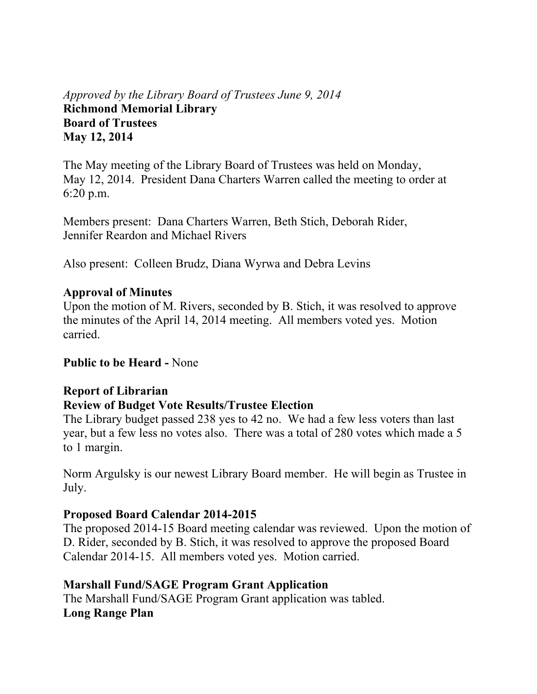# *Approved by the Library Board of Trustees June 9, 2014*  **Richmond Memorial Library Board of Trustees May 12, 2014**

The May meeting of the Library Board of Trustees was held on Monday, May 12, 2014. President Dana Charters Warren called the meeting to order at 6:20 p.m.

Members present: Dana Charters Warren, Beth Stich, Deborah Rider, Jennifer Reardon and Michael Rivers

Also present: Colleen Brudz, Diana Wyrwa and Debra Levins

### **Approval of Minutes**

Upon the motion of M. Rivers, seconded by B. Stich, it was resolved to approve the minutes of the April 14, 2014 meeting. All members voted yes. Motion carried.

### **Public to be Heard -** None

### **Report of Librarian Review of Budget Vote Results/Trustee Election**

The Library budget passed 238 yes to 42 no. We had a few less voters than last year, but a few less no votes also. There was a total of 280 votes which made a 5 to 1 margin.

Norm Argulsky is our newest Library Board member. He will begin as Trustee in July.

### **Proposed Board Calendar 2014-2015**

The proposed 2014-15 Board meeting calendar was reviewed. Upon the motion of D. Rider, seconded by B. Stich, it was resolved to approve the proposed Board Calendar 2014-15. All members voted yes. Motion carried.

# **Marshall Fund/SAGE Program Grant Application**

The Marshall Fund/SAGE Program Grant application was tabled. **Long Range Plan**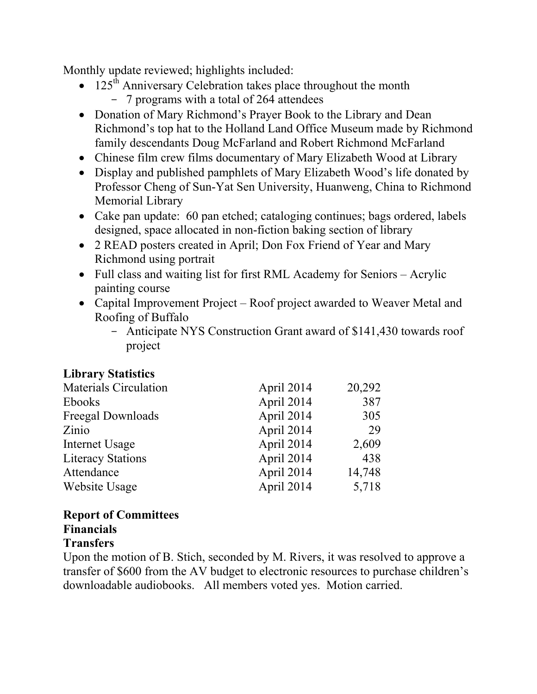Monthly update reviewed; highlights included:

- $125<sup>th</sup>$  Anniversary Celebration takes place throughout the month - 7 programs with a total of 264 attendees
- Donation of Mary Richmond's Prayer Book to the Library and Dean Richmond's top hat to the Holland Land Office Museum made by Richmond family descendants Doug McFarland and Robert Richmond McFarland
- Chinese film crew films documentary of Mary Elizabeth Wood at Library
- Display and published pamphlets of Mary Elizabeth Wood's life donated by Professor Cheng of Sun-Yat Sen University, Huanweng, China to Richmond Memorial Library
- Cake pan update: 60 pan etched; cataloging continues; bags ordered, labels designed, space allocated in non-fiction baking section of library
- 2 READ posters created in April; Don Fox Friend of Year and Mary Richmond using portrait
- Full class and waiting list for first RML Academy for Seniors Acrylic painting course
- Capital Improvement Project Roof project awarded to Weaver Metal and Roofing of Buffalo
	- Anticipate NYS Construction Grant award of \$141,430 towards roof project

# **Library Statistics**

| <b>Materials Circulation</b> | April 2014 | 20,292 |
|------------------------------|------------|--------|
| Ebooks                       | April 2014 | 387    |
| Freegal Downloads            | April 2014 | 305    |
| Zinio                        | April 2014 | 29     |
| Internet Usage               | April 2014 | 2,609  |
| <b>Literacy Stations</b>     | April 2014 | 438    |
| Attendance                   | April 2014 | 14,748 |
| Website Usage                | April 2014 | 5,718  |

#### **Report of Committees Financials Transfers**

Upon the motion of B. Stich, seconded by M. Rivers, it was resolved to approve a transfer of \$600 from the AV budget to electronic resources to purchase children's downloadable audiobooks. All members voted yes. Motion carried.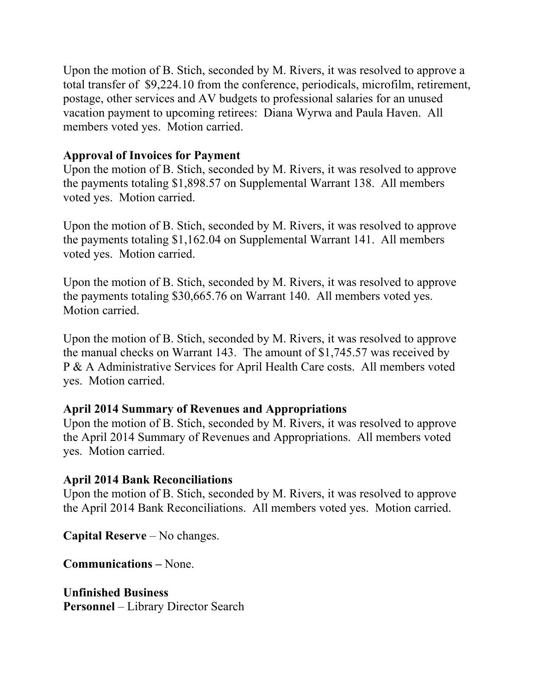Upon the motion of B. Stich, seconded by M. Rivers, it was resolved to approve a total transfer of \$9,224.10 from the conference, periodicals, microfilm, retirement, postage, other services and AV budgets to professional salaries for an unused vacation payment to upcoming retirees: Diana Wyrwa and Paula Haven. All members voted yes. Motion carried.

### **Approval of Invoices for Payment**

Upon the motion of B. Stich, seconded by M. Rivers, it was resolved to approve the payments totaling \$1,898.57 on Supplemental Warrant 138. All members voted yes. Motion carried.

Upon the motion of B. Stich, seconded by M. Rivers, it was resolved to approve the payments totaling \$1,162.04 on Supplemental Warrant 141. All members voted yes. Motion carried.

Upon the motion of B. Stich, seconded by M. Rivers, it was resolved to approve the payments totaling \$30,665.76 on Warrant 140. All members voted yes. Motion carried.

Upon the motion of B. Stich, seconded by M. Rivers, it was resolved to approve the manual checks on Warrant 143. The amount of \$1,745.57 was received by P & A Administrative Services for April Health Care costs. All members voted yes. Motion carried.

# **April 2014 Summary of Revenues and Appropriations**

Upon the motion of B. Stich, seconded by M. Rivers, it was resolved to approve the April 2014 Summary of Revenues and Appropriations. All members voted yes. Motion carried.

### **April 2014 Bank Reconciliations**

Upon the motion of B. Stich, seconded by M. Rivers, it was resolved to approve the April 2014 Bank Reconciliations. All members voted yes. Motion carried.

**Capital Reserve** – No changes.

**Communications –** None.

**Unfinished Business Personnel** – Library Director Search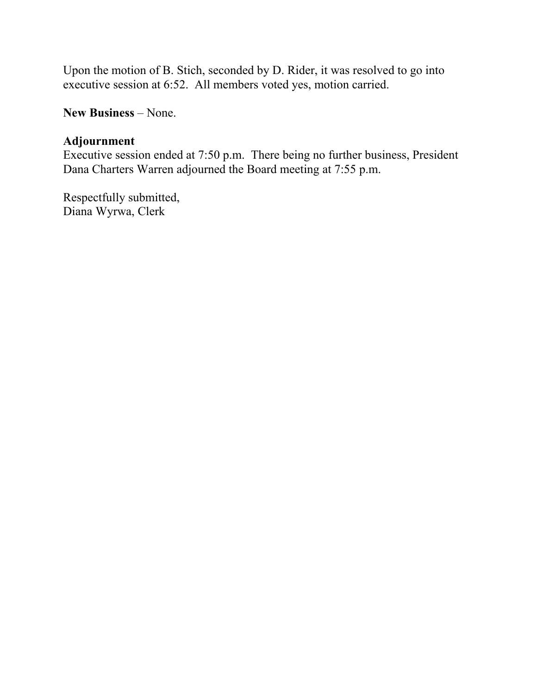Upon the motion of B. Stich, seconded by D. Rider, it was resolved to go into executive session at 6:52. All members voted yes, motion carried.

**New Business** – None.

### **Adjournment**

Executive session ended at 7:50 p.m. There being no further business, President Dana Charters Warren adjourned the Board meeting at 7:55 p.m.

Respectfully submitted, Diana Wyrwa, Clerk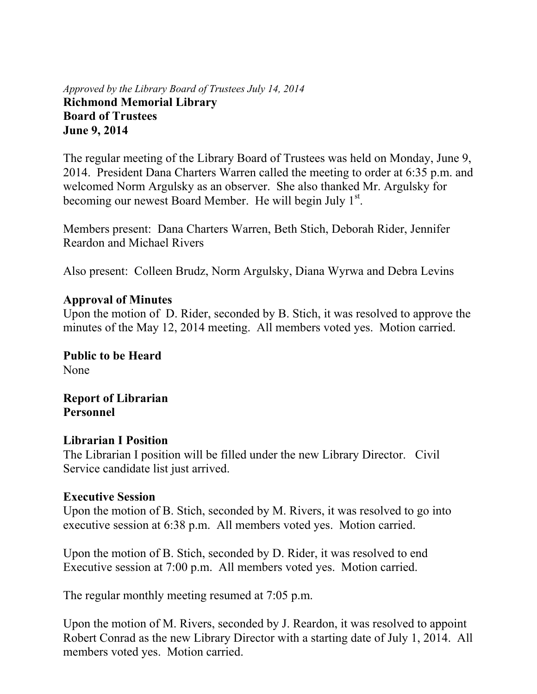*Approved by the Library Board of Trustees July 14, 2014* **Richmond Memorial Library Board of Trustees June 9, 2014** 

The regular meeting of the Library Board of Trustees was held on Monday, June 9, 2014. President Dana Charters Warren called the meeting to order at 6:35 p.m. and welcomed Norm Argulsky as an observer. She also thanked Mr. Argulsky for becoming our newest Board Member. He will begin July 1<sup>st</sup>.

Members present: Dana Charters Warren, Beth Stich, Deborah Rider, Jennifer Reardon and Michael Rivers

Also present: Colleen Brudz, Norm Argulsky, Diana Wyrwa and Debra Levins

### **Approval of Minutes**

Upon the motion of D. Rider, seconded by B. Stich, it was resolved to approve the minutes of the May 12, 2014 meeting. All members voted yes. Motion carried.

**Public to be Heard**  None

**Report of Librarian Personnel** 

### **Librarian I Position**

The Librarian I position will be filled under the new Library Director. Civil Service candidate list just arrived.

### **Executive Session**

Upon the motion of B. Stich, seconded by M. Rivers, it was resolved to go into executive session at 6:38 p.m. All members voted yes. Motion carried.

Upon the motion of B. Stich, seconded by D. Rider, it was resolved to end Executive session at 7:00 p.m. All members voted yes. Motion carried.

The regular monthly meeting resumed at 7:05 p.m.

Upon the motion of M. Rivers, seconded by J. Reardon, it was resolved to appoint Robert Conrad as the new Library Director with a starting date of July 1, 2014. All members voted yes. Motion carried.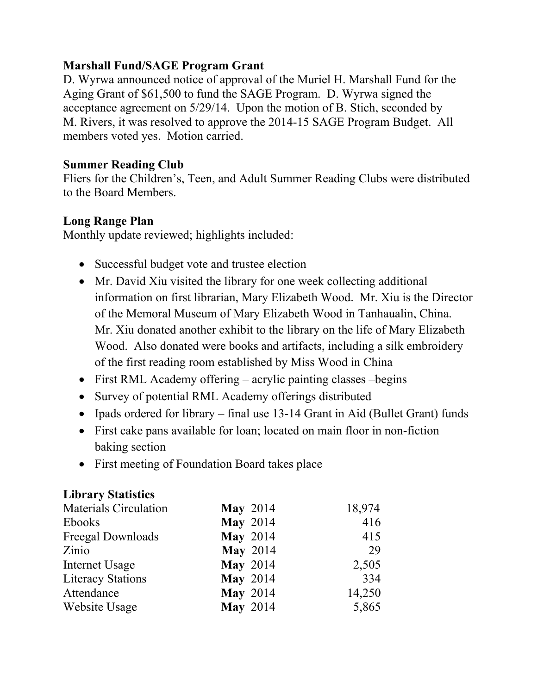# **Marshall Fund/SAGE Program Grant**

D. Wyrwa announced notice of approval of the Muriel H. Marshall Fund for the Aging Grant of \$61,500 to fund the SAGE Program. D. Wyrwa signed the acceptance agreement on 5/29/14. Upon the motion of B. Stich, seconded by M. Rivers, it was resolved to approve the 2014-15 SAGE Program Budget. All members voted yes. Motion carried.

### **Summer Reading Club**

Fliers for the Children's, Teen, and Adult Summer Reading Clubs were distributed to the Board Members.

### **Long Range Plan**

Monthly update reviewed; highlights included:

- Successful budget vote and trustee election
- Mr. David Xiu visited the library for one week collecting additional information on first librarian, Mary Elizabeth Wood. Mr. Xiu is the Director of the Memoral Museum of Mary Elizabeth Wood in Tanhaualin, China. Mr. Xiu donated another exhibit to the library on the life of Mary Elizabeth Wood. Also donated were books and artifacts, including a silk embroidery of the first reading room established by Miss Wood in China
- First RML Academy offering acrylic painting classes begins
- Survey of potential RML Academy offerings distributed
- Ipads ordered for library final use 13-14 Grant in Aid (Bullet Grant) funds
- First cake pans available for loan; located on main floor in non-fiction baking section
- First meeting of Foundation Board takes place

#### **Library Statistics**

| <b>Materials Circulation</b> | <b>May 2014</b> | 18,974 |
|------------------------------|-----------------|--------|
| Ebooks                       | <b>May 2014</b> | 416    |
| Freegal Downloads            | <b>May 2014</b> | 415    |
| Zinio                        | <b>May 2014</b> | 29     |
| Internet Usage               | <b>May 2014</b> | 2,505  |
| <b>Literacy Stations</b>     | <b>May 2014</b> | 334    |
| Attendance                   | <b>May 2014</b> | 14,250 |
| Website Usage                | <b>May 2014</b> | 5,865  |
|                              |                 |        |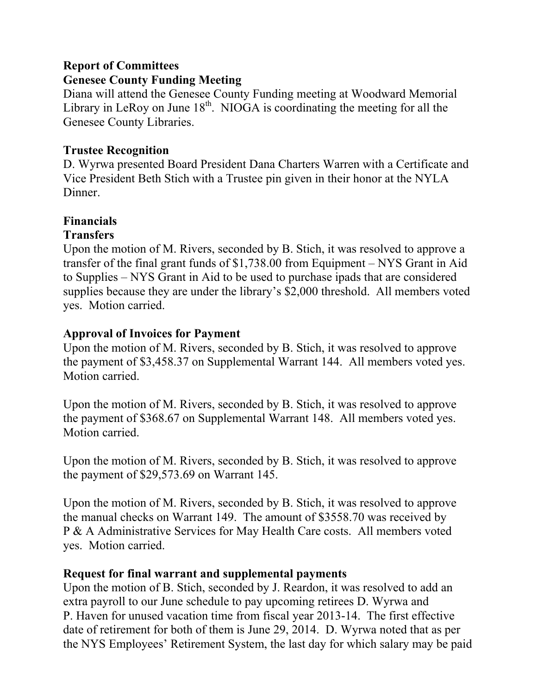### **Report of Committees**

# **Genesee County Funding Meeting**

Diana will attend the Genesee County Funding meeting at Woodward Memorial Library in LeRoy on June  $18<sup>th</sup>$ . NIOGA is coordinating the meeting for all the Genesee County Libraries.

# **Trustee Recognition**

D. Wyrwa presented Board President Dana Charters Warren with a Certificate and Vice President Beth Stich with a Trustee pin given in their honor at the NYLA Dinner.

# **Financials**

# **Transfers**

Upon the motion of M. Rivers, seconded by B. Stich, it was resolved to approve a transfer of the final grant funds of \$1,738.00 from Equipment – NYS Grant in Aid to Supplies – NYS Grant in Aid to be used to purchase ipads that are considered supplies because they are under the library's \$2,000 threshold. All members voted yes. Motion carried.

# **Approval of Invoices for Payment**

Upon the motion of M. Rivers, seconded by B. Stich, it was resolved to approve the payment of \$3,458.37 on Supplemental Warrant 144. All members voted yes. Motion carried.

Upon the motion of M. Rivers, seconded by B. Stich, it was resolved to approve the payment of \$368.67 on Supplemental Warrant 148. All members voted yes. Motion carried.

Upon the motion of M. Rivers, seconded by B. Stich, it was resolved to approve the payment of \$29,573.69 on Warrant 145.

Upon the motion of M. Rivers, seconded by B. Stich, it was resolved to approve the manual checks on Warrant 149. The amount of \$3558.70 was received by P & A Administrative Services for May Health Care costs. All members voted yes. Motion carried.

# **Request for final warrant and supplemental payments**

Upon the motion of B. Stich, seconded by J. Reardon, it was resolved to add an extra payroll to our June schedule to pay upcoming retirees D. Wyrwa and P. Haven for unused vacation time from fiscal year 2013-14. The first effective date of retirement for both of them is June 29, 2014. D. Wyrwa noted that as per the NYS Employees' Retirement System, the last day for which salary may be paid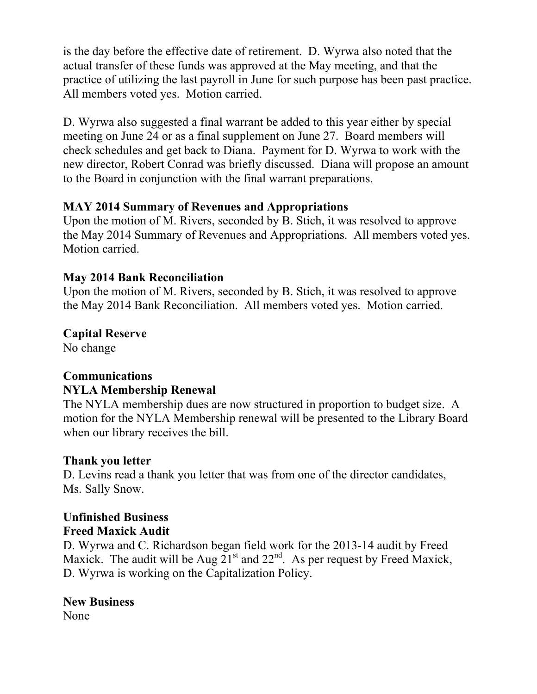is the day before the effective date of retirement. D. Wyrwa also noted that the actual transfer of these funds was approved at the May meeting, and that the practice of utilizing the last payroll in June for such purpose has been past practice. All members voted yes. Motion carried.

D. Wyrwa also suggested a final warrant be added to this year either by special meeting on June 24 or as a final supplement on June 27. Board members will check schedules and get back to Diana. Payment for D. Wyrwa to work with the new director, Robert Conrad was briefly discussed. Diana will propose an amount to the Board in conjunction with the final warrant preparations.

# **MAY 2014 Summary of Revenues and Appropriations**

Upon the motion of M. Rivers, seconded by B. Stich, it was resolved to approve the May 2014 Summary of Revenues and Appropriations. All members voted yes. Motion carried.

# **May 2014 Bank Reconciliation**

Upon the motion of M. Rivers, seconded by B. Stich, it was resolved to approve the May 2014 Bank Reconciliation. All members voted yes. Motion carried.

# **Capital Reserve**

No change

# **Communications NYLA Membership Renewal**

The NYLA membership dues are now structured in proportion to budget size. A motion for the NYLA Membership renewal will be presented to the Library Board when our library receives the bill.

# **Thank you letter**

D. Levins read a thank you letter that was from one of the director candidates, Ms. Sally Snow.

# **Unfinished Business Freed Maxick Audit**

D. Wyrwa and C. Richardson began field work for the 2013-14 audit by Freed Maxick. The audit will be Aug  $21<sup>st</sup>$  and  $22<sup>nd</sup>$ . As per request by Freed Maxick, D. Wyrwa is working on the Capitalization Policy.

# **New Business**

None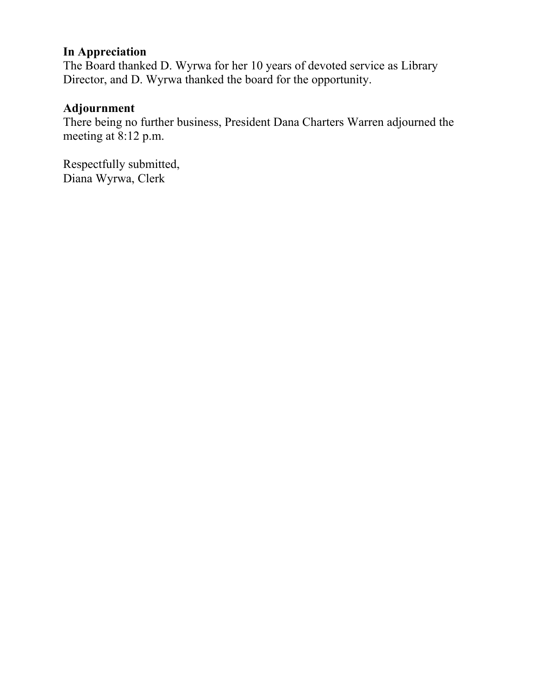### **In Appreciation**

The Board thanked D. Wyrwa for her 10 years of devoted service as Library Director, and D. Wyrwa thanked the board for the opportunity.

# **Adjournment**

There being no further business, President Dana Charters Warren adjourned the meeting at 8:12 p.m.

Respectfully submitted, Diana Wyrwa, Clerk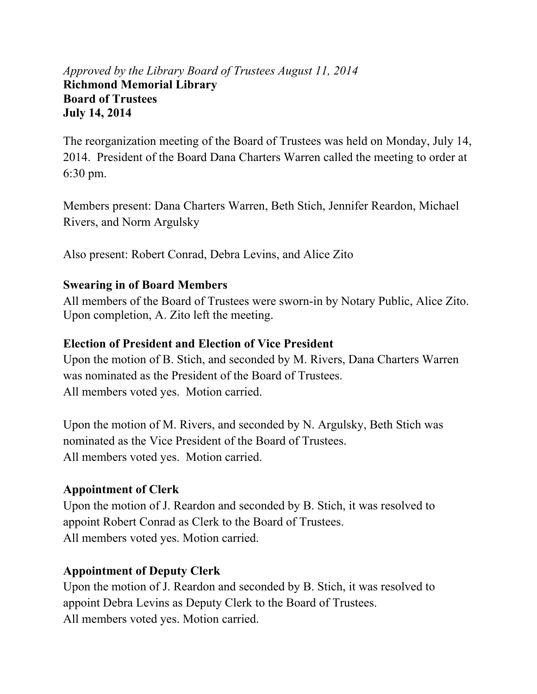# *Approved by the Library Board of Trustees August 11, 2014*  **Richmond Memorial Library Board of Trustees July 14, 2014**

The reorganization meeting of the Board of Trustees was held on Monday, July 14, 2014. President of the Board Dana Charters Warren called the meeting to order at 6:30 pm.

Members present: Dana Charters Warren, Beth Stich, Jennifer Reardon, Michael Rivers, and Norm Argulsky

Also present: Robert Conrad, Debra Levins, and Alice Zito

# **Swearing in of Board Members**

All members of the Board of Trustees were sworn-in by Notary Public, Alice Zito. Upon completion, A. Zito left the meeting.

#### **Election of President and Election of Vice President**

Upon the motion of B. Stich, and seconded by M. Rivers, Dana Charters Warren was nominated as the President of the Board of Trustees. All members voted yes. Motion carried.

Upon the motion of M. Rivers, and seconded by N. Argulsky, Beth Stich was nominated as the Vice President of the Board of Trustees. All members voted yes. Motion carried.

### **Appointment of Clerk**

Upon the motion of J. Reardon and seconded by B. Stich, it was resolved to appoint Robert Conrad as Clerk to the Board of Trustees. All members voted yes. Motion carried.

### **Appointment of Deputy Clerk**

Upon the motion of J. Reardon and seconded by B. Stich, it was resolved to appoint Debra Levins as Deputy Clerk to the Board of Trustees. All members voted yes. Motion carried.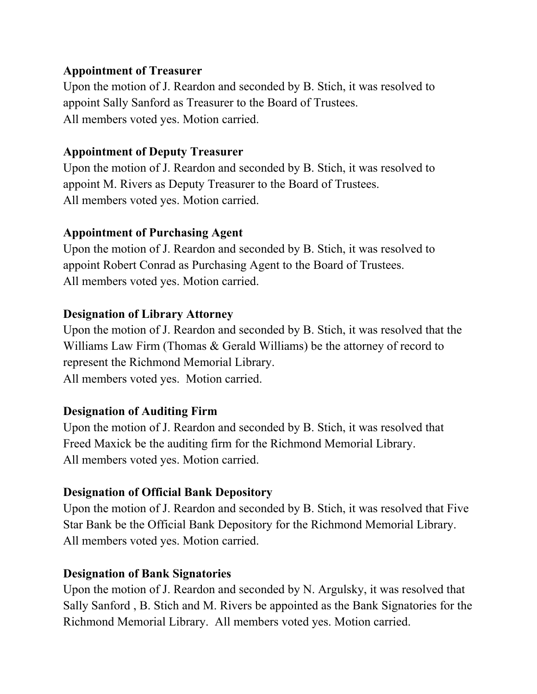# **Appointment of Treasurer**

Upon the motion of J. Reardon and seconded by B. Stich, it was resolved to appoint Sally Sanford as Treasurer to the Board of Trustees. All members voted yes. Motion carried.

# **Appointment of Deputy Treasurer**

Upon the motion of J. Reardon and seconded by B. Stich, it was resolved to appoint M. Rivers as Deputy Treasurer to the Board of Trustees. All members voted yes. Motion carried.

# **Appointment of Purchasing Agent**

Upon the motion of J. Reardon and seconded by B. Stich, it was resolved to appoint Robert Conrad as Purchasing Agent to the Board of Trustees. All members voted yes. Motion carried.

# **Designation of Library Attorney**

Upon the motion of J. Reardon and seconded by B. Stich, it was resolved that the Williams Law Firm (Thomas & Gerald Williams) be the attorney of record to represent the Richmond Memorial Library. All members voted yes. Motion carried.

# **Designation of Auditing Firm**

Upon the motion of J. Reardon and seconded by B. Stich, it was resolved that Freed Maxick be the auditing firm for the Richmond Memorial Library. All members voted yes. Motion carried.

# **Designation of Official Bank Depository**

Upon the motion of J. Reardon and seconded by B. Stich, it was resolved that Five Star Bank be the Official Bank Depository for the Richmond Memorial Library. All members voted yes. Motion carried.

# **Designation of Bank Signatories**

Upon the motion of J. Reardon and seconded by N. Argulsky, it was resolved that Sally Sanford , B. Stich and M. Rivers be appointed as the Bank Signatories for the Richmond Memorial Library. All members voted yes. Motion carried.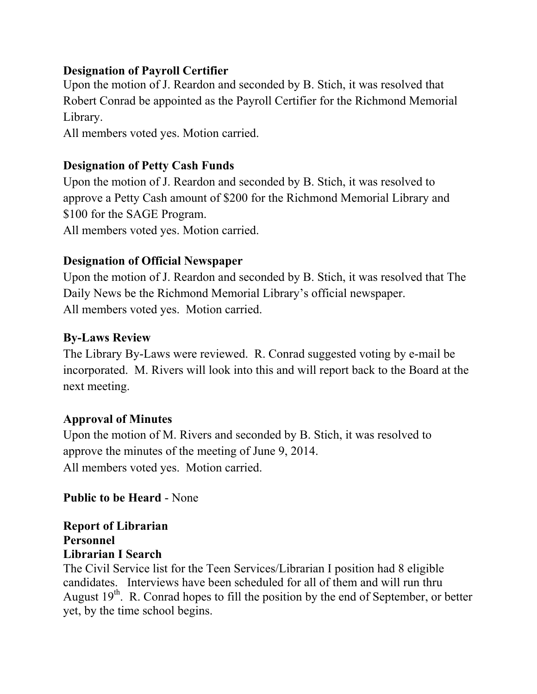# **Designation of Payroll Certifier**

Upon the motion of J. Reardon and seconded by B. Stich, it was resolved that Robert Conrad be appointed as the Payroll Certifier for the Richmond Memorial Library.

All members voted yes. Motion carried.

# **Designation of Petty Cash Funds**

Upon the motion of J. Reardon and seconded by B. Stich, it was resolved to approve a Petty Cash amount of \$200 for the Richmond Memorial Library and \$100 for the SAGE Program. All members voted yes. Motion carried.

# **Designation of Official Newspaper**

Upon the motion of J. Reardon and seconded by B. Stich, it was resolved that The Daily News be the Richmond Memorial Library's official newspaper. All members voted yes. Motion carried.

# **By-Laws Review**

The Library By-Laws were reviewed. R. Conrad suggested voting by e-mail be incorporated. M. Rivers will look into this and will report back to the Board at the next meeting.

### **Approval of Minutes**

Upon the motion of M. Rivers and seconded by B. Stich, it was resolved to approve the minutes of the meeting of June 9, 2014. All members voted yes. Motion carried.

# **Public to be Heard** - None

**Report of Librarian Personnel Librarian I Search** 

The Civil Service list for the Teen Services/Librarian I position had 8 eligible candidates. Interviews have been scheduled for all of them and will run thru August  $19<sup>th</sup>$ . R. Conrad hopes to fill the position by the end of September, or better yet, by the time school begins.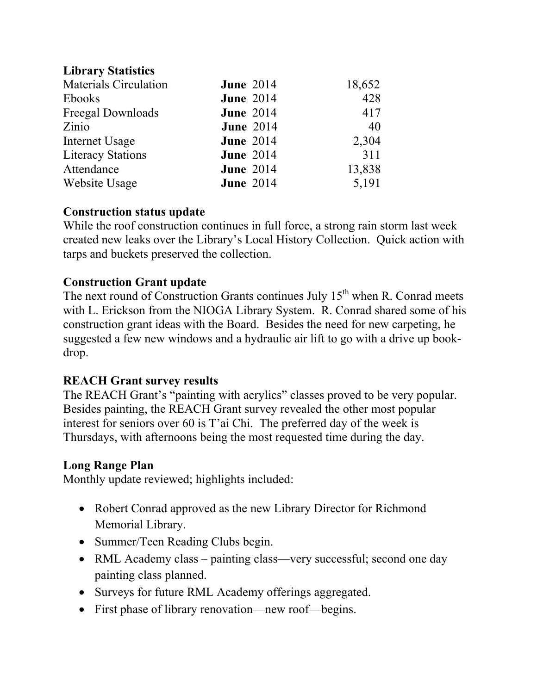# **Library Statistics**

| <b>Materials Circulation</b> | <b>June 2014</b> | 18,652 |
|------------------------------|------------------|--------|
| <b>Ebooks</b>                | <b>June 2014</b> | 428    |
| Freegal Downloads            | <b>June 2014</b> | 417    |
| Zinio                        | <b>June 2014</b> | 40     |
| Internet Usage               | <b>June 2014</b> | 2,304  |
| <b>Literacy Stations</b>     | <b>June 2014</b> | 311    |
| Attendance                   | <b>June 2014</b> | 13,838 |
| Website Usage                | <b>June 2014</b> | 5,191  |

### **Construction status update**

While the roof construction continues in full force, a strong rain storm last week created new leaks over the Library's Local History Collection. Quick action with tarps and buckets preserved the collection.

# **Construction Grant update**

The next round of Construction Grants continues July  $15<sup>th</sup>$  when R. Conrad meets with L. Erickson from the NIOGA Library System. R. Conrad shared some of his construction grant ideas with the Board. Besides the need for new carpeting, he suggested a few new windows and a hydraulic air lift to go with a drive up bookdrop.

# **REACH Grant survey results**

The REACH Grant's "painting with acrylics" classes proved to be very popular. Besides painting, the REACH Grant survey revealed the other most popular interest for seniors over 60 is T'ai Chi. The preferred day of the week is Thursdays, with afternoons being the most requested time during the day.

### **Long Range Plan**

Monthly update reviewed; highlights included:

- Robert Conrad approved as the new Library Director for Richmond Memorial Library.
- Summer/Teen Reading Clubs begin.
- RML Academy class painting class—very successful; second one day painting class planned.
- Surveys for future RML Academy offerings aggregated.
- First phase of library renovation—new roof—begins.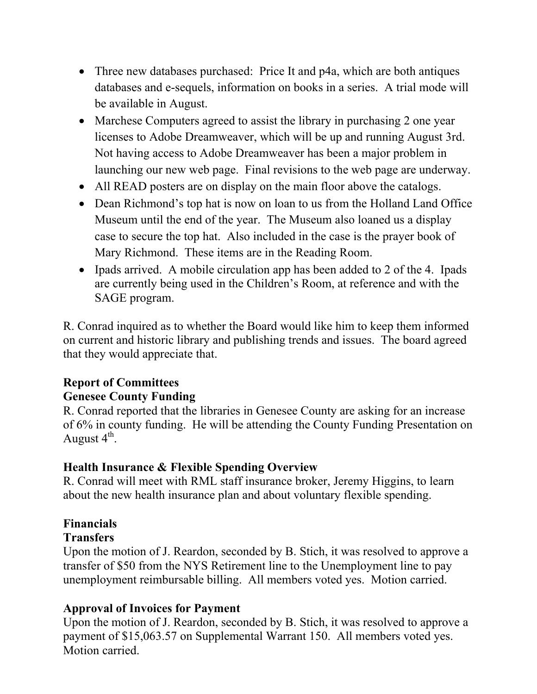- Three new databases purchased: Price It and p4a, which are both antiques databases and e-sequels, information on books in a series. A trial mode will be available in August.
- Marchese Computers agreed to assist the library in purchasing 2 one year licenses to Adobe Dreamweaver, which will be up and running August 3rd. Not having access to Adobe Dreamweaver has been a major problem in launching our new web page. Final revisions to the web page are underway.
- All READ posters are on display on the main floor above the catalogs.
- Dean Richmond's top hat is now on loan to us from the Holland Land Office Museum until the end of the year. The Museum also loaned us a display case to secure the top hat. Also included in the case is the prayer book of Mary Richmond. These items are in the Reading Room.
- Ipads arrived. A mobile circulation app has been added to 2 of the 4. Ipads are currently being used in the Children's Room, at reference and with the SAGE program.

R. Conrad inquired as to whether the Board would like him to keep them informed on current and historic library and publishing trends and issues. The board agreed that they would appreciate that.

# **Report of Committees**

# **Genesee County Funding**

R. Conrad reported that the libraries in Genesee County are asking for an increase of 6% in county funding. He will be attending the County Funding Presentation on August  $4<sup>th</sup>$ .

# **Health Insurance & Flexible Spending Overview**

R. Conrad will meet with RML staff insurance broker, Jeremy Higgins, to learn about the new health insurance plan and about voluntary flexible spending.

# **Financials**

# **Transfers**

Upon the motion of J. Reardon, seconded by B. Stich, it was resolved to approve a transfer of \$50 from the NYS Retirement line to the Unemployment line to pay unemployment reimbursable billing. All members voted yes. Motion carried.

# **Approval of Invoices for Payment**

Upon the motion of J. Reardon, seconded by B. Stich, it was resolved to approve a payment of \$15,063.57 on Supplemental Warrant 150. All members voted yes. Motion carried.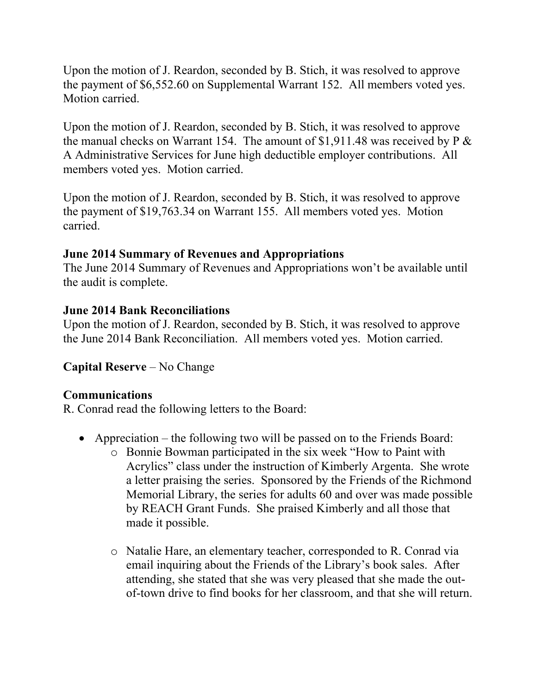Upon the motion of J. Reardon, seconded by B. Stich, it was resolved to approve the payment of \$6,552.60 on Supplemental Warrant 152. All members voted yes. Motion carried.

Upon the motion of J. Reardon, seconded by B. Stich, it was resolved to approve the manual checks on Warrant 154. The amount of  $$1,911.48$  was received by P  $\&$ A Administrative Services for June high deductible employer contributions. All members voted yes. Motion carried.

Upon the motion of J. Reardon, seconded by B. Stich, it was resolved to approve the payment of \$19,763.34 on Warrant 155. All members voted yes. Motion carried.

# **June 2014 Summary of Revenues and Appropriations**

The June 2014 Summary of Revenues and Appropriations won't be available until the audit is complete.

# **June 2014 Bank Reconciliations**

Upon the motion of J. Reardon, seconded by B. Stich, it was resolved to approve the June 2014 Bank Reconciliation. All members voted yes. Motion carried.

# **Capital Reserve** – No Change

### **Communications**

R. Conrad read the following letters to the Board:

- Appreciation the following two will be passed on to the Friends Board:
	- o Bonnie Bowman participated in the six week "How to Paint with Acrylics" class under the instruction of Kimberly Argenta. She wrote a letter praising the series. Sponsored by the Friends of the Richmond Memorial Library, the series for adults 60 and over was made possible by REACH Grant Funds. She praised Kimberly and all those that made it possible.
	- o Natalie Hare, an elementary teacher, corresponded to R. Conrad via email inquiring about the Friends of the Library's book sales. After attending, she stated that she was very pleased that she made the outof-town drive to find books for her classroom, and that she will return.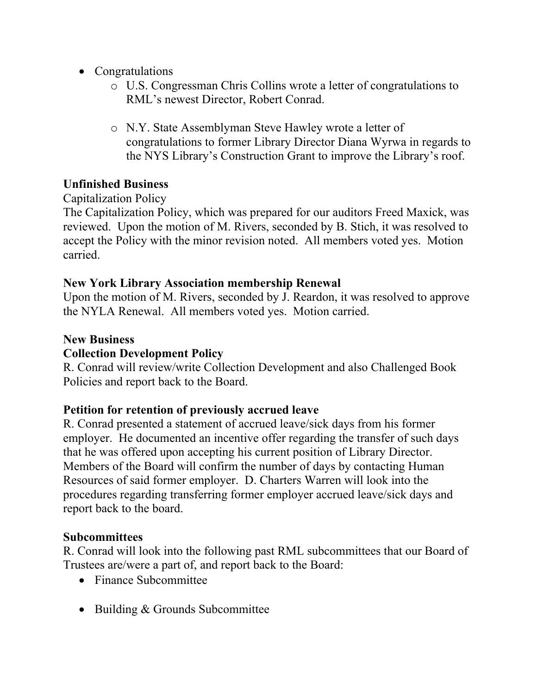- Congratulations
	- o U.S. Congressman Chris Collins wrote a letter of congratulations to RML's newest Director, Robert Conrad.
	- o N.Y. State Assemblyman Steve Hawley wrote a letter of congratulations to former Library Director Diana Wyrwa in regards to the NYS Library's Construction Grant to improve the Library's roof.

# **Unfinished Business**

Capitalization Policy

The Capitalization Policy, which was prepared for our auditors Freed Maxick, was reviewed. Upon the motion of M. Rivers, seconded by B. Stich, it was resolved to accept the Policy with the minor revision noted. All members voted yes. Motion carried.

# **New York Library Association membership Renewal**

Upon the motion of M. Rivers, seconded by J. Reardon, it was resolved to approve the NYLA Renewal. All members voted yes. Motion carried.

# **New Business**

# **Collection Development Policy**

R. Conrad will review/write Collection Development and also Challenged Book Policies and report back to the Board.

# **Petition for retention of previously accrued leave**

R. Conrad presented a statement of accrued leave/sick days from his former employer. He documented an incentive offer regarding the transfer of such days that he was offered upon accepting his current position of Library Director. Members of the Board will confirm the number of days by contacting Human Resources of said former employer. D. Charters Warren will look into the procedures regarding transferring former employer accrued leave/sick days and report back to the board.

# **Subcommittees**

R. Conrad will look into the following past RML subcommittees that our Board of Trustees are/were a part of, and report back to the Board:

- Finance Subcommittee
- Building & Grounds Subcommittee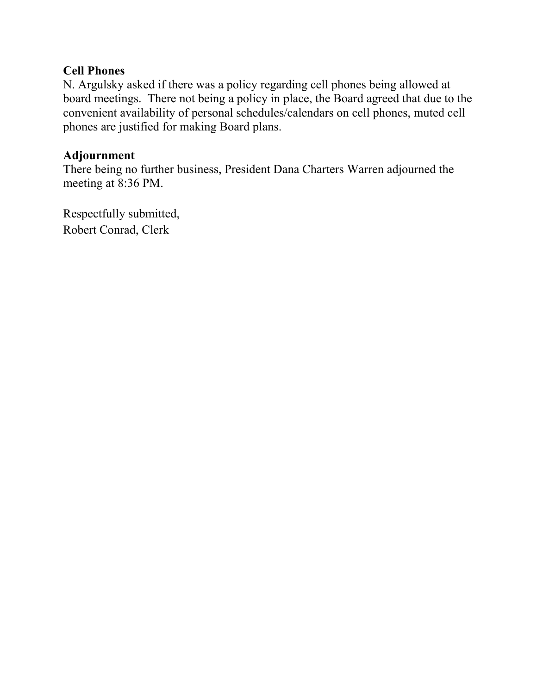# **Cell Phones**

N. Argulsky asked if there was a policy regarding cell phones being allowed at board meetings. There not being a policy in place, the Board agreed that due to the convenient availability of personal schedules/calendars on cell phones, muted cell phones are justified for making Board plans.

### **Adjournment**

There being no further business, President Dana Charters Warren adjourned the meeting at 8:36 PM.

Respectfully submitted, Robert Conrad, Clerk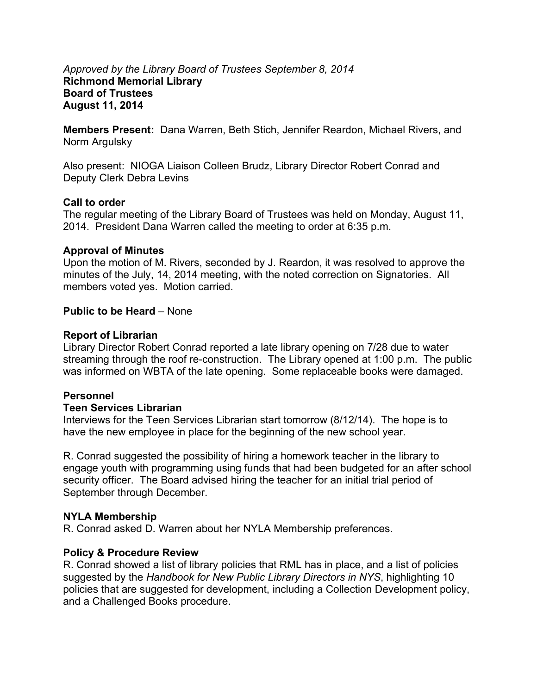#### *Approved by the Library Board of Trustees September 8, 2014*  **Richmond Memorial Library Board of Trustees August 11, 2014**

**Members Present:** Dana Warren, Beth Stich, Jennifer Reardon, Michael Rivers, and Norm Argulsky

Also present: NIOGA Liaison Colleen Brudz, Library Director Robert Conrad and Deputy Clerk Debra Levins

#### **Call to order**

The regular meeting of the Library Board of Trustees was held on Monday, August 11, 2014. President Dana Warren called the meeting to order at 6:35 p.m.

#### **Approval of Minutes**

Upon the motion of M. Rivers, seconded by J. Reardon, it was resolved to approve the minutes of the July, 14, 2014 meeting, with the noted correction on Signatories. All members voted yes. Motion carried.

#### **Public to be Heard** – None

#### **Report of Librarian**

Library Director Robert Conrad reported a late library opening on 7/28 due to water streaming through the roof re-construction. The Library opened at 1:00 p.m. The public was informed on WBTA of the late opening. Some replaceable books were damaged.

#### **Personnel**

#### **Teen Services Librarian**

Interviews for the Teen Services Librarian start tomorrow (8/12/14). The hope is to have the new employee in place for the beginning of the new school year.

R. Conrad suggested the possibility of hiring a homework teacher in the library to engage youth with programming using funds that had been budgeted for an after school security officer. The Board advised hiring the teacher for an initial trial period of September through December.

#### **NYLA Membership**

R. Conrad asked D. Warren about her NYLA Membership preferences.

#### **Policy & Procedure Review**

R. Conrad showed a list of library policies that RML has in place, and a list of policies suggested by the *Handbook for New Public Library Directors in NYS*, highlighting 10 policies that are suggested for development, including a Collection Development policy, and a Challenged Books procedure.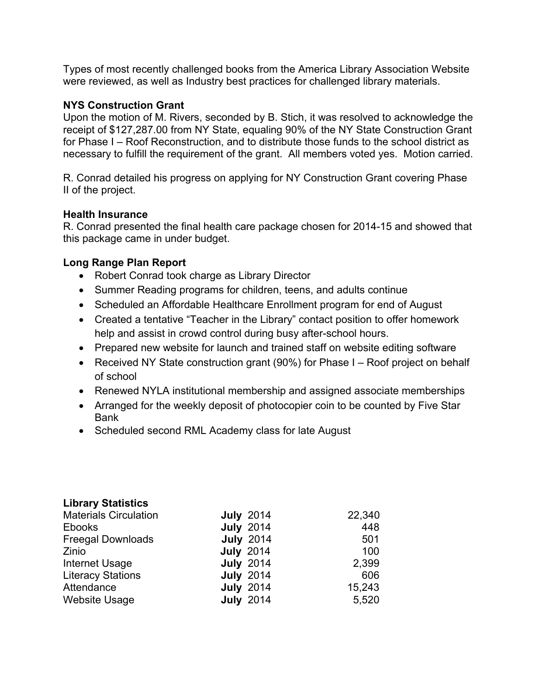Types of most recently challenged books from the America Library Association Website were reviewed, as well as Industry best practices for challenged library materials.

#### **NYS Construction Grant**

Upon the motion of M. Rivers, seconded by B. Stich, it was resolved to acknowledge the receipt of \$127,287.00 from NY State, equaling 90% of the NY State Construction Grant for Phase I – Roof Reconstruction, and to distribute those funds to the school district as necessary to fulfill the requirement of the grant. All members voted yes. Motion carried.

R. Conrad detailed his progress on applying for NY Construction Grant covering Phase II of the project.

#### **Health Insurance**

R. Conrad presented the final health care package chosen for 2014-15 and showed that this package came in under budget.

#### **Long Range Plan Report**

- Robert Conrad took charge as Library Director
- Summer Reading programs for children, teens, and adults continue
- Scheduled an Affordable Healthcare Enrollment program for end of August
- Created a tentative "Teacher in the Library" contact position to offer homework help and assist in crowd control during busy after-school hours.
- Prepared new website for launch and trained staff on website editing software
- Received NY State construction grant (90%) for Phase I Roof project on behalf of school
- Renewed NYLA institutional membership and assigned associate memberships
- Arranged for the weekly deposit of photocopier coin to be counted by Five Star Bank
- Scheduled second RML Academy class for late August

#### **Library Statistics**

| <b>Materials Circulation</b> | <b>July 2014</b> | 22,340 |
|------------------------------|------------------|--------|
| <b>Ebooks</b>                | <b>July 2014</b> | 448    |
| <b>Freegal Downloads</b>     | <b>July 2014</b> | 501    |
| Zinio                        | <b>July 2014</b> | 100    |
| Internet Usage               | <b>July 2014</b> | 2,399  |
| <b>Literacy Stations</b>     | <b>July 2014</b> | 606    |
| Attendance                   | <b>July 2014</b> | 15,243 |
| <b>Website Usage</b>         | <b>July 2014</b> | 5,520  |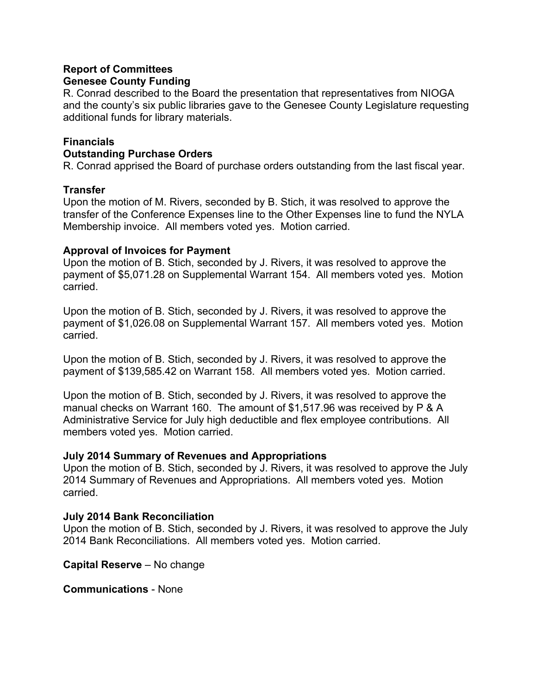#### **Report of Committees Genesee County Funding**

R. Conrad described to the Board the presentation that representatives from NIOGA and the county's six public libraries gave to the Genesee County Legislature requesting additional funds for library materials.

#### **Financials**

#### **Outstanding Purchase Orders**

R. Conrad apprised the Board of purchase orders outstanding from the last fiscal year.

#### **Transfer**

Upon the motion of M. Rivers, seconded by B. Stich, it was resolved to approve the transfer of the Conference Expenses line to the Other Expenses line to fund the NYLA Membership invoice. All members voted yes. Motion carried.

#### **Approval of Invoices for Payment**

Upon the motion of B. Stich, seconded by J. Rivers, it was resolved to approve the payment of \$5,071.28 on Supplemental Warrant 154. All members voted yes. Motion carried.

Upon the motion of B. Stich, seconded by J. Rivers, it was resolved to approve the payment of \$1,026.08 on Supplemental Warrant 157. All members voted yes. Motion carried.

Upon the motion of B. Stich, seconded by J. Rivers, it was resolved to approve the payment of \$139,585.42 on Warrant 158. All members voted yes. Motion carried.

Upon the motion of B. Stich, seconded by J. Rivers, it was resolved to approve the manual checks on Warrant 160. The amount of \$1,517.96 was received by P & A Administrative Service for July high deductible and flex employee contributions. All members voted yes. Motion carried.

#### **July 2014 Summary of Revenues and Appropriations**

Upon the motion of B. Stich, seconded by J. Rivers, it was resolved to approve the July 2014 Summary of Revenues and Appropriations. All members voted yes. Motion carried.

#### **July 2014 Bank Reconciliation**

Upon the motion of B. Stich, seconded by J. Rivers, it was resolved to approve the July 2014 Bank Reconciliations. All members voted yes. Motion carried.

**Capital Reserve** – No change

**Communications** - None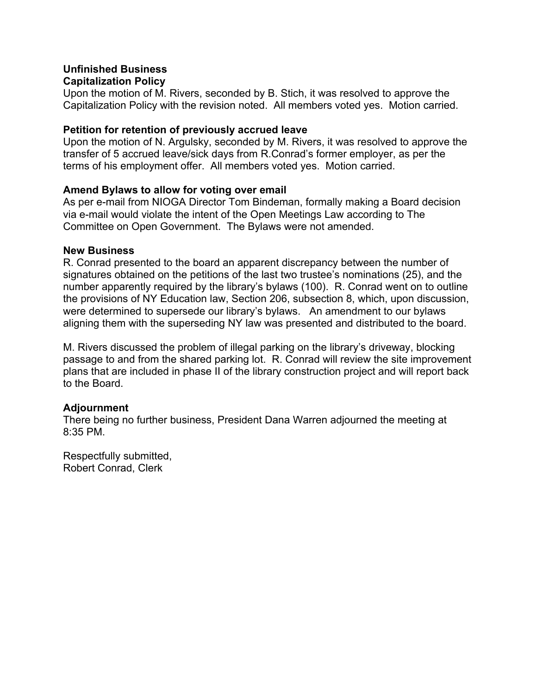#### **Unfinished Business Capitalization Policy**

Upon the motion of M. Rivers, seconded by B. Stich, it was resolved to approve the Capitalization Policy with the revision noted. All members voted yes. Motion carried.

#### **Petition for retention of previously accrued leave**

Upon the motion of N. Argulsky, seconded by M. Rivers, it was resolved to approve the transfer of 5 accrued leave/sick days from R.Conrad's former employer, as per the terms of his employment offer. All members voted yes. Motion carried.

#### **Amend Bylaws to allow for voting over email**

As per e-mail from NIOGA Director Tom Bindeman, formally making a Board decision via e-mail would violate the intent of the Open Meetings Law according to The Committee on Open Government. The Bylaws were not amended.

#### **New Business**

R. Conrad presented to the board an apparent discrepancy between the number of signatures obtained on the petitions of the last two trustee's nominations (25), and the number apparently required by the library's bylaws (100). R. Conrad went on to outline the provisions of NY Education law, Section 206, subsection 8, which, upon discussion, were determined to supersede our library's bylaws. An amendment to our bylaws aligning them with the superseding NY law was presented and distributed to the board.

M. Rivers discussed the problem of illegal parking on the library's driveway, blocking passage to and from the shared parking lot. R. Conrad will review the site improvement plans that are included in phase II of the library construction project and will report back to the Board.

#### **Adjournment**

There being no further business, President Dana Warren adjourned the meeting at 8:35 PM.

Respectfully submitted, Robert Conrad, Clerk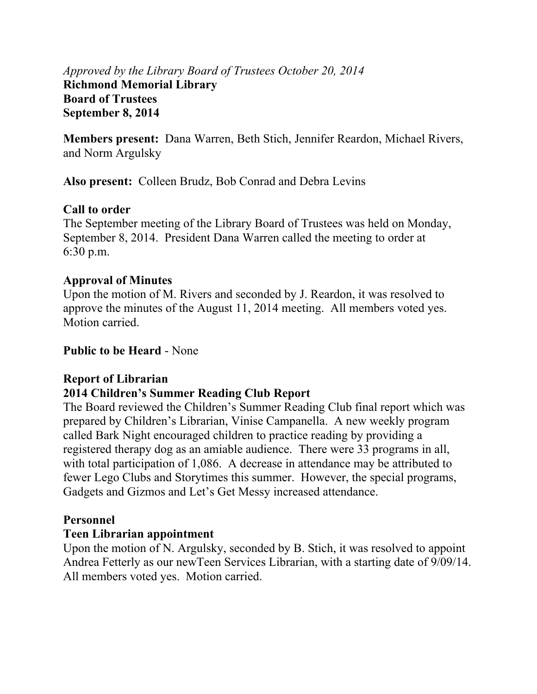# *Approved by the Library Board of Trustees October 20, 2014*  **Richmond Memorial Library Board of Trustees September 8, 2014**

**Members present:** Dana Warren, Beth Stich, Jennifer Reardon, Michael Rivers, and Norm Argulsky

**Also present:** Colleen Brudz, Bob Conrad and Debra Levins

# **Call to order**

The September meeting of the Library Board of Trustees was held on Monday, September 8, 2014. President Dana Warren called the meeting to order at 6:30 p.m.

# **Approval of Minutes**

Upon the motion of M. Rivers and seconded by J. Reardon, it was resolved to approve the minutes of the August 11, 2014 meeting. All members voted yes. Motion carried.

**Public to be Heard** - None

# **Report of Librarian**

# **2014 Children's Summer Reading Club Report**

The Board reviewed the Children's Summer Reading Club final report which was prepared by Children's Librarian, Vinise Campanella. A new weekly program called Bark Night encouraged children to practice reading by providing a registered therapy dog as an amiable audience. There were 33 programs in all, with total participation of 1,086. A decrease in attendance may be attributed to fewer Lego Clubs and Storytimes this summer. However, the special programs, Gadgets and Gizmos and Let's Get Messy increased attendance.

# **Personnel**

# **Teen Librarian appointment**

Upon the motion of N. Argulsky, seconded by B. Stich, it was resolved to appoint Andrea Fetterly as our newTeen Services Librarian, with a starting date of 9/09/14. All members voted yes. Motion carried.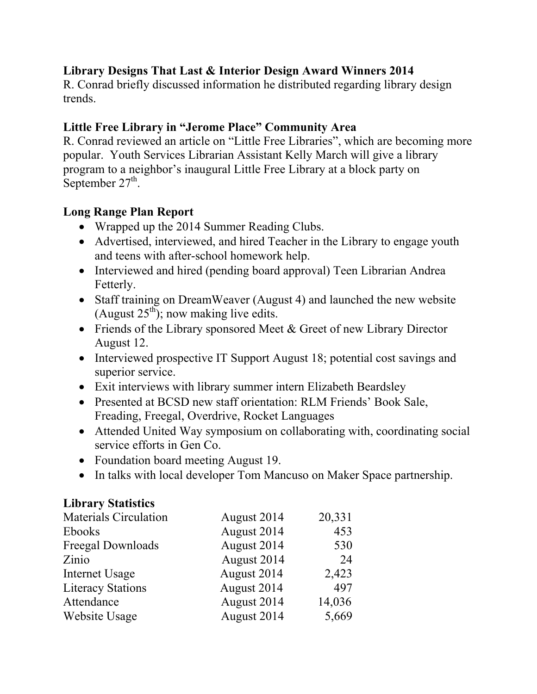# **Library Designs That Last & Interior Design Award Winners 2014**

R. Conrad briefly discussed information he distributed regarding library design trends.

# **Little Free Library in "Jerome Place" Community Area**

R. Conrad reviewed an article on "Little Free Libraries", which are becoming more popular. Youth Services Librarian Assistant Kelly March will give a library program to a neighbor's inaugural Little Free Library at a block party on September  $27<sup>th</sup>$ .

# **Long Range Plan Report**

- Wrapped up the 2014 Summer Reading Clubs.
- Advertised, interviewed, and hired Teacher in the Library to engage youth and teens with after-school homework help.
- Interviewed and hired (pending board approval) Teen Librarian Andrea Fetterly.
- Staff training on DreamWeaver (August 4) and launched the new website (August  $25<sup>th</sup>$ ); now making live edits.
- Friends of the Library sponsored Meet & Greet of new Library Director August 12.
- Interviewed prospective IT Support August 18; potential cost savings and superior service.
- Exit interviews with library summer intern Elizabeth Beardsley
- Presented at BCSD new staff orientation: RLM Friends' Book Sale, Freading, Freegal, Overdrive, Rocket Languages
- Attended United Way symposium on collaborating with, coordinating social service efforts in Gen Co.
- Foundation board meeting August 19.
- In talks with local developer Tom Mancuso on Maker Space partnership.

# **Library Statistics**

| <b>Materials Circulation</b> | August 2014 | 20,331 |
|------------------------------|-------------|--------|
| Ebooks                       | August 2014 | 453    |
| Freegal Downloads            | August 2014 | 530    |
| Zinio                        | August 2014 | 24     |
| Internet Usage               | August 2014 | 2,423  |
| <b>Literacy Stations</b>     | August 2014 | 497    |
| Attendance                   | August 2014 | 14,036 |
| Website Usage                | August 2014 | 5,669  |
|                              |             |        |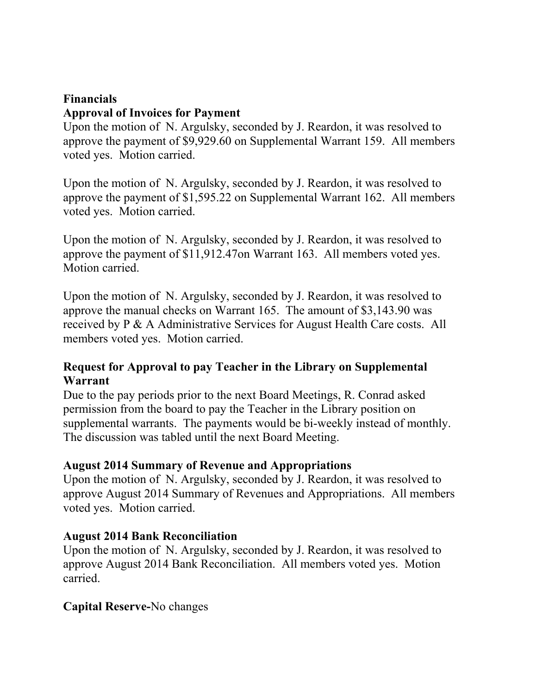# **Financials**

# **Approval of Invoices for Payment**

Upon the motion of N. Argulsky, seconded by J. Reardon, it was resolved to approve the payment of \$9,929.60 on Supplemental Warrant 159. All members voted yes. Motion carried.

Upon the motion of N. Argulsky, seconded by J. Reardon, it was resolved to approve the payment of \$1,595.22 on Supplemental Warrant 162. All members voted yes. Motion carried.

Upon the motion of N. Argulsky, seconded by J. Reardon, it was resolved to approve the payment of \$11,912.47on Warrant 163. All members voted yes. Motion carried.

Upon the motion of N. Argulsky, seconded by J. Reardon, it was resolved to approve the manual checks on Warrant 165. The amount of \$3,143.90 was received by P & A Administrative Services for August Health Care costs. All members voted yes. Motion carried.

# **Request for Approval to pay Teacher in the Library on Supplemental Warrant**

Due to the pay periods prior to the next Board Meetings, R. Conrad asked permission from the board to pay the Teacher in the Library position on supplemental warrants. The payments would be bi-weekly instead of monthly. The discussion was tabled until the next Board Meeting.

### **August 2014 Summary of Revenue and Appropriations**

Upon the motion of N. Argulsky, seconded by J. Reardon, it was resolved to approve August 2014 Summary of Revenues and Appropriations. All members voted yes. Motion carried.

# **August 2014 Bank Reconciliation**

Upon the motion of N. Argulsky, seconded by J. Reardon, it was resolved to approve August 2014 Bank Reconciliation. All members voted yes. Motion carried.

# **Capital Reserve-**No changes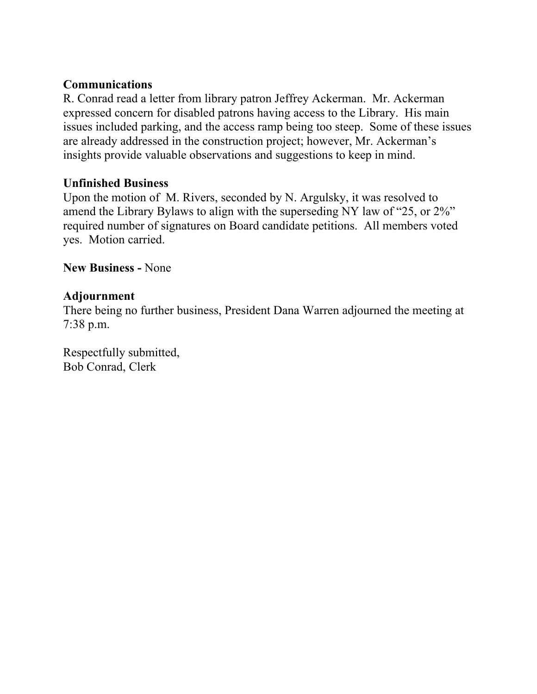# **Communications**

R. Conrad read a letter from library patron Jeffrey Ackerman. Mr. Ackerman expressed concern for disabled patrons having access to the Library. His main issues included parking, and the access ramp being too steep. Some of these issues are already addressed in the construction project; however, Mr. Ackerman's insights provide valuable observations and suggestions to keep in mind.

### **Unfinished Business**

Upon the motion of M. Rivers, seconded by N. Argulsky, it was resolved to amend the Library Bylaws to align with the superseding NY law of "25, or 2%" required number of signatures on Board candidate petitions. All members voted yes. Motion carried.

**New Business -** None

# **Adjournment**

There being no further business, President Dana Warren adjourned the meeting at 7:38 p.m.

Respectfully submitted, Bob Conrad, Clerk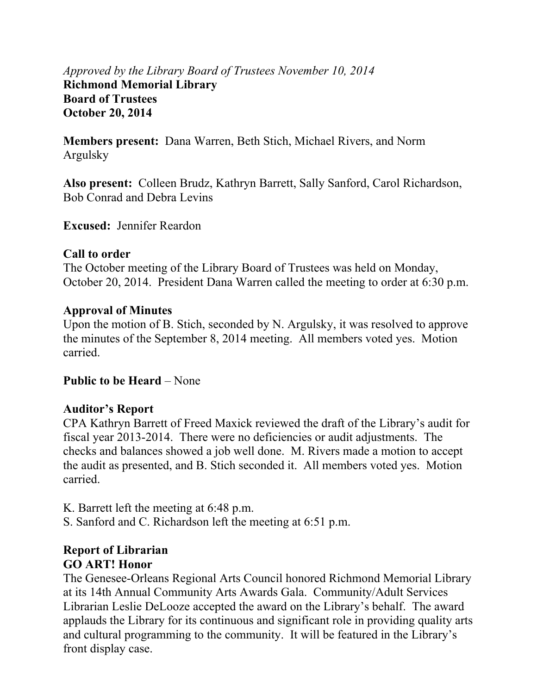# *Approved by the Library Board of Trustees November 10, 2014*  **Richmond Memorial Library Board of Trustees October 20, 2014**

**Members present:** Dana Warren, Beth Stich, Michael Rivers, and Norm Argulsky

**Also present:** Colleen Brudz, Kathryn Barrett, Sally Sanford, Carol Richardson, Bob Conrad and Debra Levins

**Excused:** Jennifer Reardon

# **Call to order**

The October meeting of the Library Board of Trustees was held on Monday, October 20, 2014. President Dana Warren called the meeting to order at 6:30 p.m.

# **Approval of Minutes**

Upon the motion of B. Stich, seconded by N. Argulsky, it was resolved to approve the minutes of the September 8, 2014 meeting. All members voted yes. Motion carried.

# **Public to be Heard – None**

# **Auditor's Report**

CPA Kathryn Barrett of Freed Maxick reviewed the draft of the Library's audit for fiscal year 2013-2014. There were no deficiencies or audit adjustments. The checks and balances showed a job well done. M. Rivers made a motion to accept the audit as presented, and B. Stich seconded it. All members voted yes. Motion carried.

K. Barrett left the meeting at 6:48 p.m.

S. Sanford and C. Richardson left the meeting at 6:51 p.m.

# **Report of Librarian GO ART! Honor**

The Genesee-Orleans Regional Arts Council honored Richmond Memorial Library at its 14th Annual Community Arts Awards Gala. Community/Adult Services Librarian Leslie DeLooze accepted the award on the Library's behalf. The award applauds the Library for its continuous and significant role in providing quality arts and cultural programming to the community. It will be featured in the Library's front display case.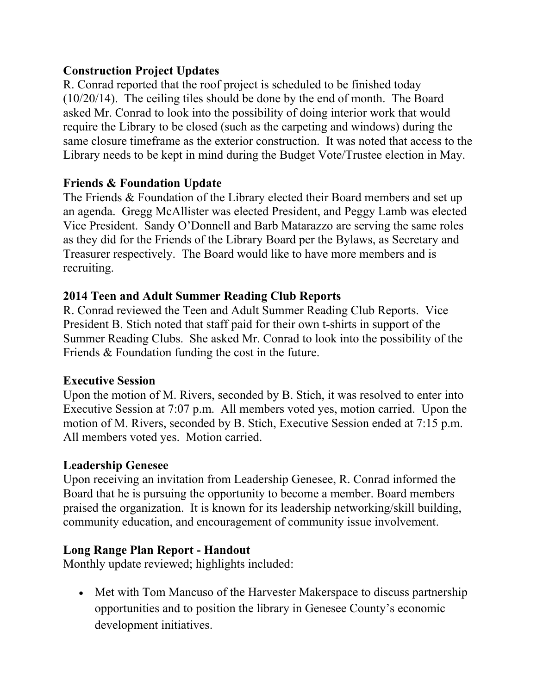# **Construction Project Updates**

R. Conrad reported that the roof project is scheduled to be finished today (10/20/14). The ceiling tiles should be done by the end of month. The Board asked Mr. Conrad to look into the possibility of doing interior work that would require the Library to be closed (such as the carpeting and windows) during the same closure timeframe as the exterior construction. It was noted that access to the Library needs to be kept in mind during the Budget Vote/Trustee election in May.

# **Friends & Foundation Update**

The Friends & Foundation of the Library elected their Board members and set up an agenda. Gregg McAllister was elected President, and Peggy Lamb was elected Vice President. Sandy O'Donnell and Barb Matarazzo are serving the same roles as they did for the Friends of the Library Board per the Bylaws, as Secretary and Treasurer respectively. The Board would like to have more members and is recruiting.

# **2014 Teen and Adult Summer Reading Club Reports**

R. Conrad reviewed the Teen and Adult Summer Reading Club Reports. Vice President B. Stich noted that staff paid for their own t-shirts in support of the Summer Reading Clubs. She asked Mr. Conrad to look into the possibility of the Friends & Foundation funding the cost in the future.

# **Executive Session**

Upon the motion of M. Rivers, seconded by B. Stich, it was resolved to enter into Executive Session at 7:07 p.m. All members voted yes, motion carried. Upon the motion of M. Rivers, seconded by B. Stich, Executive Session ended at 7:15 p.m. All members voted yes. Motion carried.

# **Leadership Genesee**

Upon receiving an invitation from Leadership Genesee, R. Conrad informed the Board that he is pursuing the opportunity to become a member. Board members praised the organization. It is known for its leadership networking/skill building, community education, and encouragement of community issue involvement.

# **Long Range Plan Report - Handout**

Monthly update reviewed; highlights included:

• Met with Tom Mancuso of the Harvester Makerspace to discuss partnership opportunities and to position the library in Genesee County's economic development initiatives.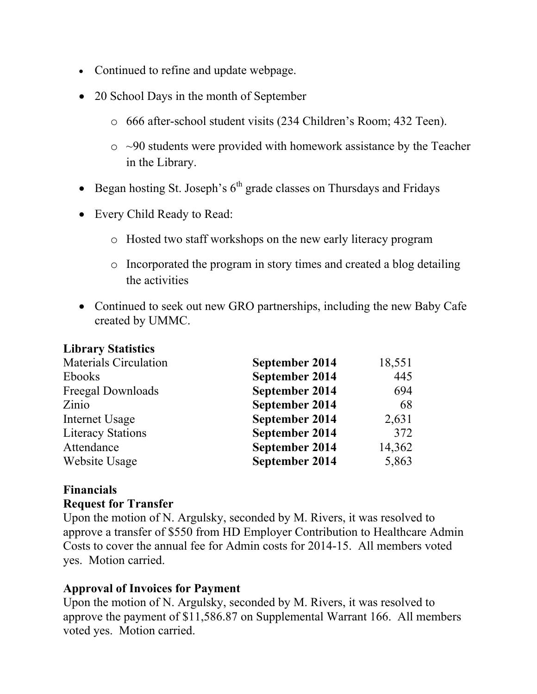- Continued to refine and update webpage.
- 20 School Days in the month of September
	- o 666 after-school student visits (234 Children's Room; 432 Teen).
	- $\circ$  ~90 students were provided with homework assistance by the Teacher in the Library.
- Began hosting St. Joseph's  $6<sup>th</sup>$  grade classes on Thursdays and Fridays
- Every Child Ready to Read:
	- o Hosted two staff workshops on the new early literacy program
	- o Incorporated the program in story times and created a blog detailing the activities
- Continued to seek out new GRO partnerships, including the new Baby Cafe created by UMMC.

#### **Library Statistics**

| <b>Materials Circulation</b> | September 2014 | 18,551 |
|------------------------------|----------------|--------|
| Ebooks                       | September 2014 | 445    |
| Freegal Downloads            | September 2014 | 694    |
| Zinio                        | September 2014 | 68     |
| Internet Usage               | September 2014 | 2,631  |
| <b>Literacy Stations</b>     | September 2014 | 372    |
| Attendance                   | September 2014 | 14,362 |
| Website Usage                | September 2014 | 5,863  |

# **Financials**

#### **Request for Transfer**

Upon the motion of N. Argulsky, seconded by M. Rivers, it was resolved to approve a transfer of \$550 from HD Employer Contribution to Healthcare Admin Costs to cover the annual fee for Admin costs for 2014-15. All members voted yes. Motion carried.

# **Approval of Invoices for Payment**

Upon the motion of N. Argulsky, seconded by M. Rivers, it was resolved to approve the payment of \$11,586.87 on Supplemental Warrant 166. All members voted yes. Motion carried.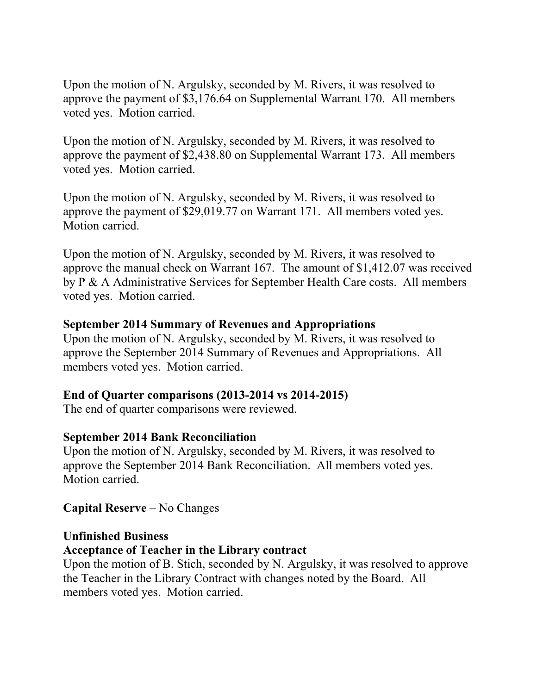Upon the motion of N. Argulsky, seconded by M. Rivers, it was resolved to approve the payment of \$3,176.64 on Supplemental Warrant 170. All members voted yes. Motion carried.

Upon the motion of N. Argulsky, seconded by M. Rivers, it was resolved to approve the payment of \$2,438.80 on Supplemental Warrant 173. All members voted yes. Motion carried.

Upon the motion of N. Argulsky, seconded by M. Rivers, it was resolved to approve the payment of \$29,019.77 on Warrant 171. All members voted yes. Motion carried.

Upon the motion of N. Argulsky, seconded by M. Rivers, it was resolved to approve the manual check on Warrant 167. The amount of \$1,412.07 was received by P & A Administrative Services for September Health Care costs. All members voted yes. Motion carried.

### **September 2014 Summary of Revenues and Appropriations**

Upon the motion of N. Argulsky, seconded by M. Rivers, it was resolved to approve the September 2014 Summary of Revenues and Appropriations. All members voted yes. Motion carried.

### **End of Quarter comparisons (2013-2014 vs 2014-2015)**

The end of quarter comparisons were reviewed.

# **September 2014 Bank Reconciliation**

Upon the motion of N. Argulsky, seconded by M. Rivers, it was resolved to approve the September 2014 Bank Reconciliation. All members voted yes. Motion carried.

**Capital Reserve** – No Changes

# **Unfinished Business**

# **Acceptance of Teacher in the Library contract**

Upon the motion of B. Stich, seconded by N. Argulsky, it was resolved to approve the Teacher in the Library Contract with changes noted by the Board. All members voted yes. Motion carried.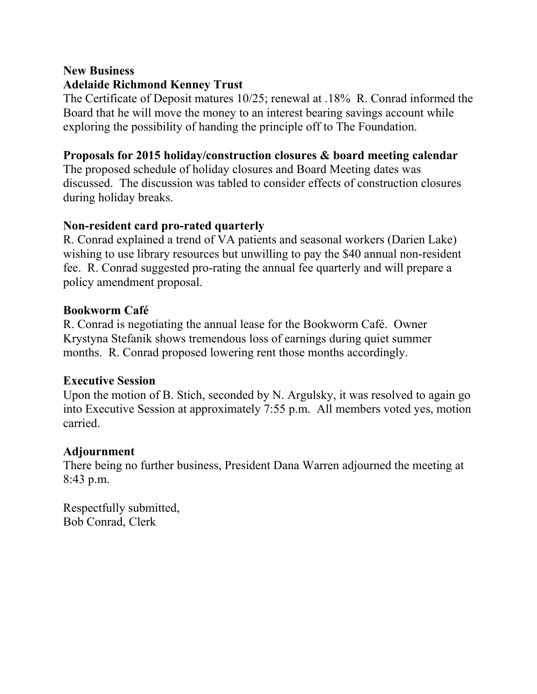#### **New Business Adelaide Richmond Kenney Trust**

The Certificate of Deposit matures 10/25; renewal at .18% R. Conrad informed the Board that he will move the money to an interest bearing savings account while exploring the possibility of handing the principle off to The Foundation.

### **Proposals for 2015 holiday/construction closures & board meeting calendar**

The proposed schedule of holiday closures and Board Meeting dates was discussed. The discussion was tabled to consider effects of construction closures during holiday breaks.

### **Non-resident card pro-rated quarterly**

R. Conrad explained a trend of VA patients and seasonal workers (Darien Lake) wishing to use library resources but unwilling to pay the \$40 annual non-resident fee. R. Conrad suggested pro-rating the annual fee quarterly and will prepare a policy amendment proposal.

### **Bookworm Café**

R. Conrad is negotiating the annual lease for the Bookworm Café. Owner Krystyna Stefanik shows tremendous loss of earnings during quiet summer months. R. Conrad proposed lowering rent those months accordingly.

### **Executive Session**

Upon the motion of B. Stich, seconded by N. Argulsky, it was resolved to again go into Executive Session at approximately 7:55 p.m. All members voted yes, motion carried.

### **Adjournment**

There being no further business, President Dana Warren adjourned the meeting at 8:43 p.m.

Respectfully submitted, Bob Conrad, Clerk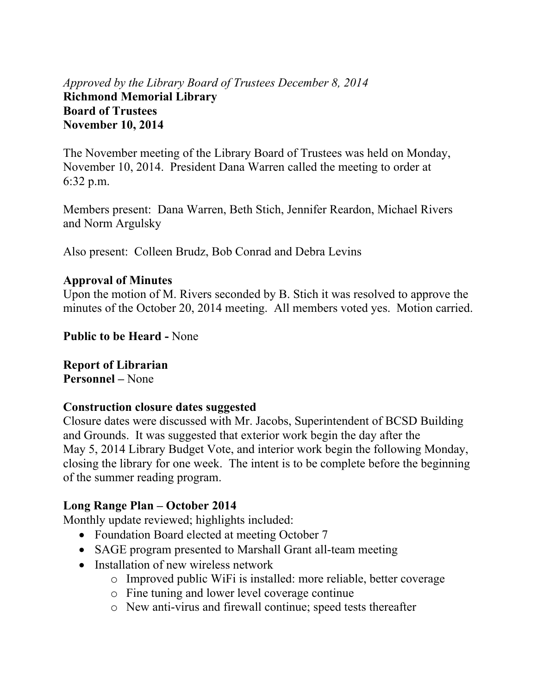# *Approved by the Library Board of Trustees December 8, 2014*  **Richmond Memorial Library Board of Trustees November 10, 2014**

The November meeting of the Library Board of Trustees was held on Monday, November 10, 2014. President Dana Warren called the meeting to order at 6:32 p.m.

Members present: Dana Warren, Beth Stich, Jennifer Reardon, Michael Rivers and Norm Argulsky

Also present: Colleen Brudz, Bob Conrad and Debra Levins

### **Approval of Minutes**

Upon the motion of M. Rivers seconded by B. Stich it was resolved to approve the minutes of the October 20, 2014 meeting. All members voted yes. Motion carried.

**Public to be Heard -** None

**Report of Librarian Personnel –** None

#### **Construction closure dates suggested**

Closure dates were discussed with Mr. Jacobs, Superintendent of BCSD Building and Grounds. It was suggested that exterior work begin the day after the May 5, 2014 Library Budget Vote, and interior work begin the following Monday, closing the library for one week. The intent is to be complete before the beginning of the summer reading program.

### **Long Range Plan – October 2014**

Monthly update reviewed; highlights included:

- Foundation Board elected at meeting October 7
- SAGE program presented to Marshall Grant all-team meeting
- Installation of new wireless network
	- o Improved public WiFi is installed: more reliable, better coverage
	- o Fine tuning and lower level coverage continue
	- o New anti-virus and firewall continue; speed tests thereafter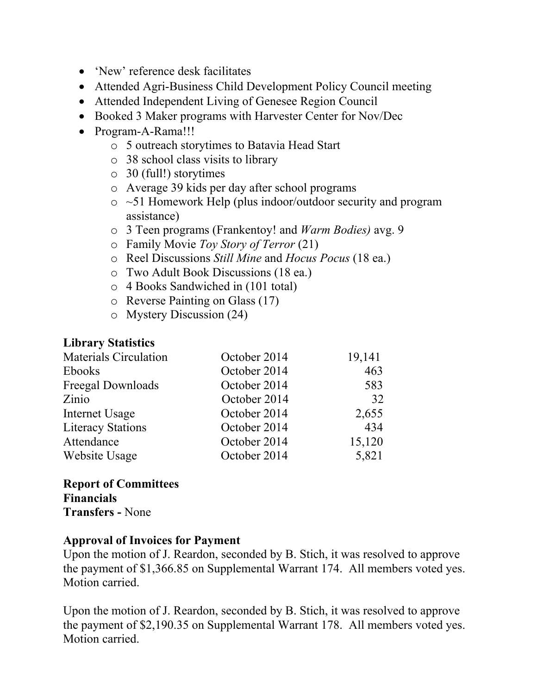- 'New' reference desk facilitates
- Attended Agri-Business Child Development Policy Council meeting
- Attended Independent Living of Genesee Region Council
- Booked 3 Maker programs with Harvester Center for Nov/Dec
- Program-A-Rama!!!
	- o 5 outreach storytimes to Batavia Head Start
	- o 38 school class visits to library
	- o 30 (full!) storytimes
	- o Average 39 kids per day after school programs
	- o ~51 Homework Help (plus indoor/outdoor security and program assistance)
	- o 3 Teen programs (Frankentoy! and *Warm Bodies)* avg. 9
	- o Family Movie *Toy Story of Terror* (21)
	- o Reel Discussions *Still Mine* and *Hocus Pocus* (18 ea.)
	- o Two Adult Book Discussions (18 ea.)
	- o 4 Books Sandwiched in (101 total)
	- o Reverse Painting on Glass (17)
	- o Mystery Discussion (24)

# **Library Statistics**

| <b>Materials Circulation</b> | October 2014 | 19,141 |
|------------------------------|--------------|--------|
| <b>Ebooks</b>                | October 2014 | 463    |
| Freegal Downloads            | October 2014 | 583    |
| Zinio                        | October 2014 | 32     |
| Internet Usage               | October 2014 | 2,655  |
| <b>Literacy Stations</b>     | October 2014 | 434    |
| Attendance                   | October 2014 | 15,120 |
| Website Usage                | October 2014 | 5,821  |

**Report of Committees Financials Transfers -** None

# **Approval of Invoices for Payment**

Upon the motion of J. Reardon, seconded by B. Stich, it was resolved to approve the payment of \$1,366.85 on Supplemental Warrant 174. All members voted yes. Motion carried.

Upon the motion of J. Reardon, seconded by B. Stich, it was resolved to approve the payment of \$2,190.35 on Supplemental Warrant 178. All members voted yes. Motion carried.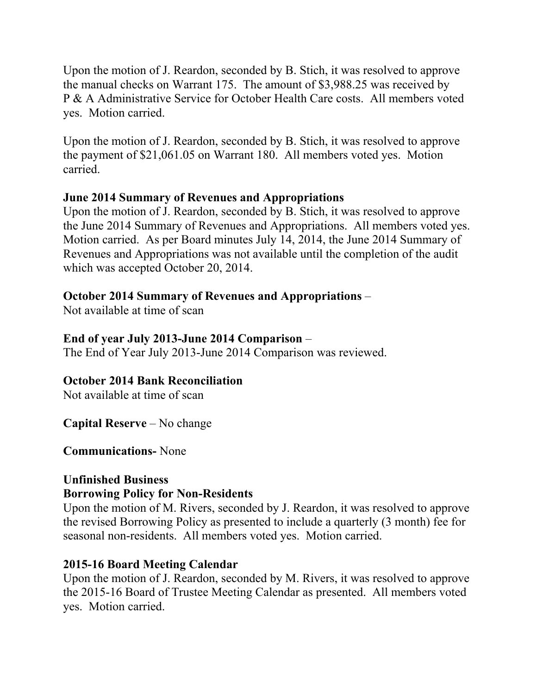Upon the motion of J. Reardon, seconded by B. Stich, it was resolved to approve the manual checks on Warrant 175. The amount of \$3,988.25 was received by P & A Administrative Service for October Health Care costs. All members voted yes. Motion carried.

Upon the motion of J. Reardon, seconded by B. Stich, it was resolved to approve the payment of \$21,061.05 on Warrant 180. All members voted yes. Motion carried.

# **June 2014 Summary of Revenues and Appropriations**

Upon the motion of J. Reardon, seconded by B. Stich, it was resolved to approve the June 2014 Summary of Revenues and Appropriations. All members voted yes. Motion carried. As per Board minutes July 14, 2014, the June 2014 Summary of Revenues and Appropriations was not available until the completion of the audit which was accepted October 20, 2014.

# **October 2014 Summary of Revenues and Appropriations** –

Not available at time of scan

# **End of year July 2013-June 2014 Comparison** –

The End of Year July 2013-June 2014 Comparison was reviewed.

### **October 2014 Bank Reconciliation**

Not available at time of scan

**Capital Reserve** – No change

**Communications-** None

# **Unfinished Business Borrowing Policy for Non-Residents**

Upon the motion of M. Rivers, seconded by J. Reardon, it was resolved to approve the revised Borrowing Policy as presented to include a quarterly (3 month) fee for seasonal non-residents. All members voted yes. Motion carried.

# **2015-16 Board Meeting Calendar**

Upon the motion of J. Reardon, seconded by M. Rivers, it was resolved to approve the 2015-16 Board of Trustee Meeting Calendar as presented. All members voted yes. Motion carried.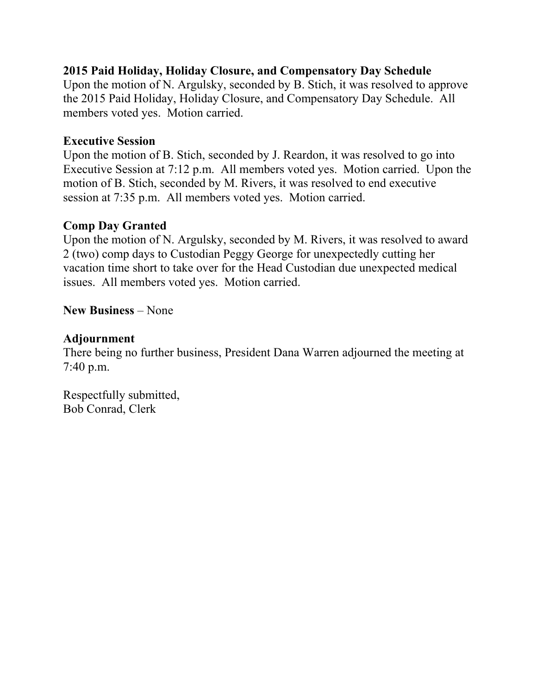# **2015 Paid Holiday, Holiday Closure, and Compensatory Day Schedule**

Upon the motion of N. Argulsky, seconded by B. Stich, it was resolved to approve the 2015 Paid Holiday, Holiday Closure, and Compensatory Day Schedule. All members voted yes. Motion carried.

# **Executive Session**

Upon the motion of B. Stich, seconded by J. Reardon, it was resolved to go into Executive Session at 7:12 p.m. All members voted yes. Motion carried. Upon the motion of B. Stich, seconded by M. Rivers, it was resolved to end executive session at 7:35 p.m. All members voted yes. Motion carried.

# **Comp Day Granted**

Upon the motion of N. Argulsky, seconded by M. Rivers, it was resolved to award 2 (two) comp days to Custodian Peggy George for unexpectedly cutting her vacation time short to take over for the Head Custodian due unexpected medical issues. All members voted yes. Motion carried.

# **New Business** – None

### **Adjournment**

There being no further business, President Dana Warren adjourned the meeting at 7:40 p.m.

Respectfully submitted, Bob Conrad, Clerk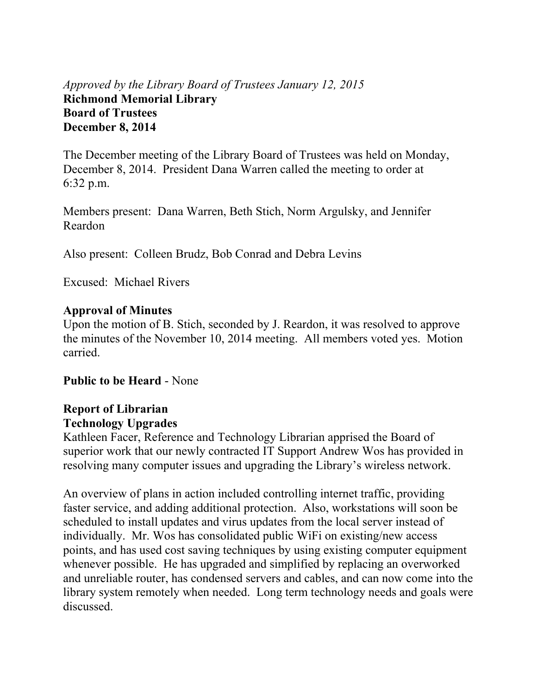# *Approved by the Library Board of Trustees January 12, 2015* **Richmond Memorial Library Board of Trustees December 8, 2014**

The December meeting of the Library Board of Trustees was held on Monday, December 8, 2014. President Dana Warren called the meeting to order at 6:32 p.m.

Members present: Dana Warren, Beth Stich, Norm Argulsky, and Jennifer Reardon

Also present: Colleen Brudz, Bob Conrad and Debra Levins

Excused: Michael Rivers

### **Approval of Minutes**

Upon the motion of B. Stich, seconded by J. Reardon, it was resolved to approve the minutes of the November 10, 2014 meeting. All members voted yes. Motion carried.

**Public to be Heard** - None

# **Report of Librarian Technology Upgrades**

Kathleen Facer, Reference and Technology Librarian apprised the Board of superior work that our newly contracted IT Support Andrew Wos has provided in resolving many computer issues and upgrading the Library's wireless network.

An overview of plans in action included controlling internet traffic, providing faster service, and adding additional protection. Also, workstations will soon be scheduled to install updates and virus updates from the local server instead of individually. Mr. Wos has consolidated public WiFi on existing/new access points, and has used cost saving techniques by using existing computer equipment whenever possible. He has upgraded and simplified by replacing an overworked and unreliable router, has condensed servers and cables, and can now come into the library system remotely when needed. Long term technology needs and goals were discussed.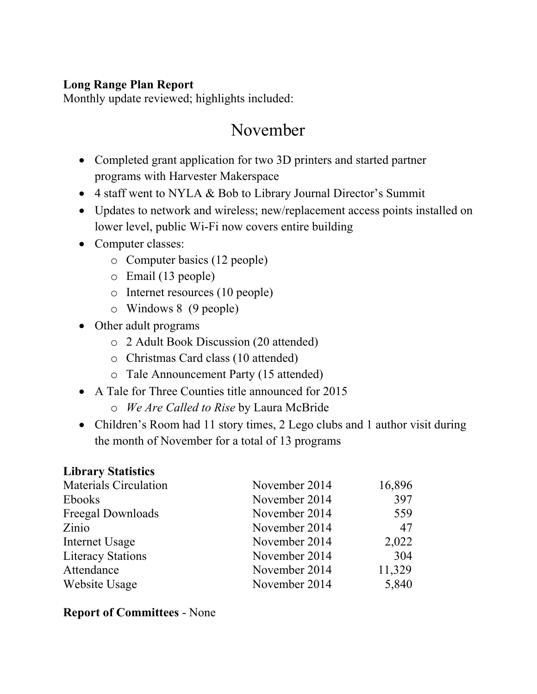# **Long Range Plan Report**

Monthly update reviewed; highlights included:

# November

- Completed grant application for two 3D printers and started partner programs with Harvester Makerspace
- 4 staff went to NYLA & Bob to Library Journal Director's Summit
- Updates to network and wireless; new/replacement access points installed on lower level, public Wi-Fi now covers entire building
- Computer classes:
	- o Computer basics (12 people)
	- o Email (13 people)
	- o Internet resources (10 people)
	- o Windows 8 (9 people)
- Other adult programs
	- o 2 Adult Book Discussion (20 attended)
	- o Christmas Card class (10 attended)
	- o Tale Announcement Party (15 attended)
- A Tale for Three Counties title announced for 2015
	- o *We Are Called to Rise* by Laura McBride
- Children's Room had 11 story times, 2 Lego clubs and 1 author visit during the month of November for a total of 13 programs

# **Library Statistics**

| <b>Materials Circulation</b> | November 2014 | 16,896 |
|------------------------------|---------------|--------|
| <b>Ebooks</b>                | November 2014 | 397    |
| Freegal Downloads            | November 2014 | 559    |
| Zinio                        | November 2014 | 47     |
| Internet Usage               | November 2014 | 2,022  |
| <b>Literacy Stations</b>     | November 2014 | 304    |
| Attendance                   | November 2014 | 11,329 |
| Website Usage                | November 2014 | 5,840  |

# **Report of Committees** - None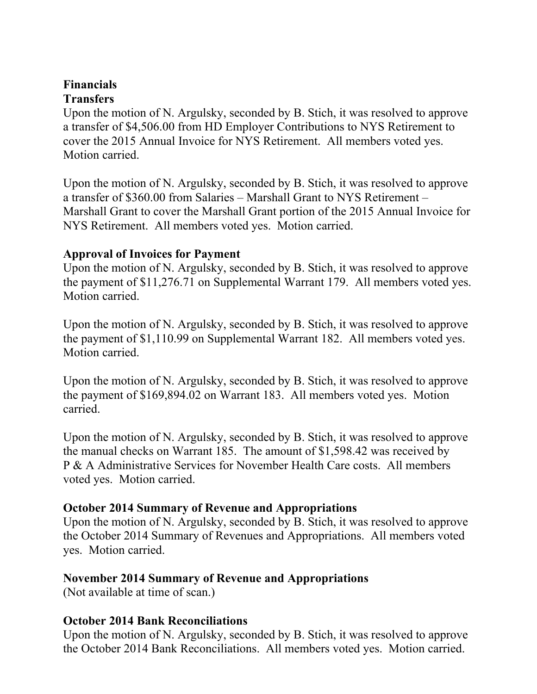#### **Financials Transfers**

Upon the motion of N. Argulsky, seconded by B. Stich, it was resolved to approve a transfer of \$4,506.00 from HD Employer Contributions to NYS Retirement to cover the 2015 Annual Invoice for NYS Retirement. All members voted yes. Motion carried.

Upon the motion of N. Argulsky, seconded by B. Stich, it was resolved to approve a transfer of \$360.00 from Salaries – Marshall Grant to NYS Retirement – Marshall Grant to cover the Marshall Grant portion of the 2015 Annual Invoice for NYS Retirement. All members voted yes. Motion carried.

### **Approval of Invoices for Payment**

Upon the motion of N. Argulsky, seconded by B. Stich, it was resolved to approve the payment of \$11,276.71 on Supplemental Warrant 179. All members voted yes. Motion carried.

Upon the motion of N. Argulsky, seconded by B. Stich, it was resolved to approve the payment of \$1,110.99 on Supplemental Warrant 182. All members voted yes. Motion carried.

Upon the motion of N. Argulsky, seconded by B. Stich, it was resolved to approve the payment of \$169,894.02 on Warrant 183. All members voted yes. Motion carried.

Upon the motion of N. Argulsky, seconded by B. Stich, it was resolved to approve the manual checks on Warrant 185. The amount of \$1,598.42 was received by P & A Administrative Services for November Health Care costs. All members voted yes. Motion carried.

# **October 2014 Summary of Revenue and Appropriations**

Upon the motion of N. Argulsky, seconded by B. Stich, it was resolved to approve the October 2014 Summary of Revenues and Appropriations. All members voted yes. Motion carried.

# **November 2014 Summary of Revenue and Appropriations**

(Not available at time of scan.)

### **October 2014 Bank Reconciliations**

Upon the motion of N. Argulsky, seconded by B. Stich, it was resolved to approve the October 2014 Bank Reconciliations. All members voted yes. Motion carried.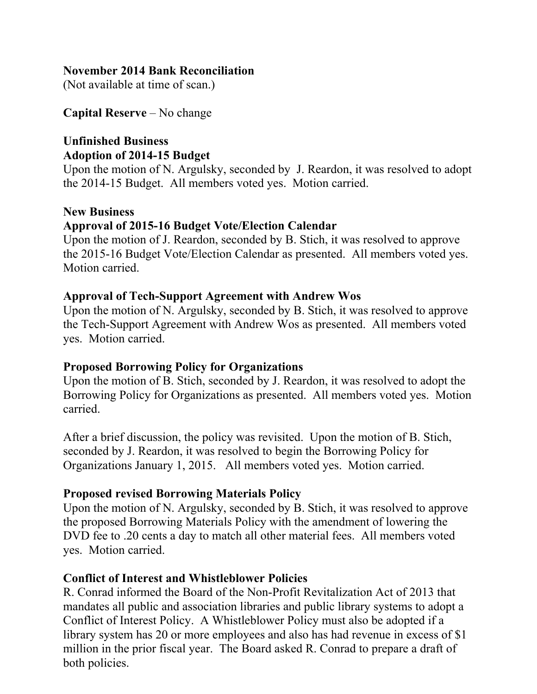#### **November 2014 Bank Reconciliation**

(Not available at time of scan.)

**Capital Reserve** – No change

# **Unfinished Business Adoption of 2014-15 Budget**

Upon the motion of N. Argulsky, seconded by J. Reardon, it was resolved to adopt the 2014-15 Budget. All members voted yes. Motion carried.

# **New Business**

# **Approval of 2015-16 Budget Vote/Election Calendar**

Upon the motion of J. Reardon, seconded by B. Stich, it was resolved to approve the 2015-16 Budget Vote/Election Calendar as presented. All members voted yes. Motion carried.

### **Approval of Tech-Support Agreement with Andrew Wos**

Upon the motion of N. Argulsky, seconded by B. Stich, it was resolved to approve the Tech-Support Agreement with Andrew Wos as presented. All members voted yes. Motion carried.

### **Proposed Borrowing Policy for Organizations**

Upon the motion of B. Stich, seconded by J. Reardon, it was resolved to adopt the Borrowing Policy for Organizations as presented. All members voted yes. Motion carried.

After a brief discussion, the policy was revisited. Upon the motion of B. Stich, seconded by J. Reardon, it was resolved to begin the Borrowing Policy for Organizations January 1, 2015. All members voted yes. Motion carried.

# **Proposed revised Borrowing Materials Policy**

Upon the motion of N. Argulsky, seconded by B. Stich, it was resolved to approve the proposed Borrowing Materials Policy with the amendment of lowering the DVD fee to .20 cents a day to match all other material fees. All members voted yes. Motion carried.

# **Conflict of Interest and Whistleblower Policies**

R. Conrad informed the Board of the Non-Profit Revitalization Act of 2013 that mandates all public and association libraries and public library systems to adopt a Conflict of Interest Policy. A Whistleblower Policy must also be adopted if a library system has 20 or more employees and also has had revenue in excess of \$1 million in the prior fiscal year. The Board asked R. Conrad to prepare a draft of both policies.